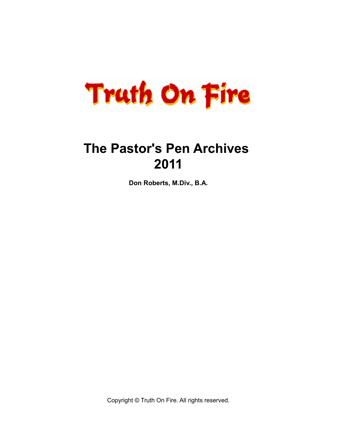

# **The Pastor's Pen Archives 2011**

**Don Roberts, M.Div., B.A.**

Copyright © Truth On Fire. All rights reserved.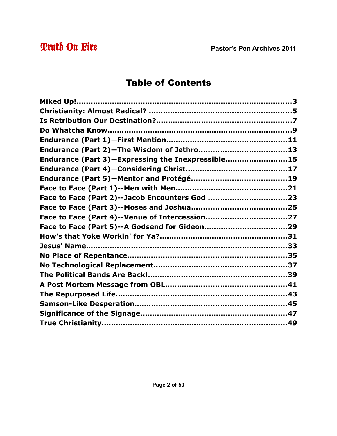## **Truth On Fire** Pastor's Pen Archives 2011

### Table of Contents

| Endurance (Part 3)-Expressing the Inexpressible15 |  |
|---------------------------------------------------|--|
|                                                   |  |
|                                                   |  |
|                                                   |  |
|                                                   |  |
|                                                   |  |
|                                                   |  |
|                                                   |  |
|                                                   |  |
|                                                   |  |
|                                                   |  |
|                                                   |  |
|                                                   |  |
|                                                   |  |
|                                                   |  |
|                                                   |  |
|                                                   |  |
|                                                   |  |
|                                                   |  |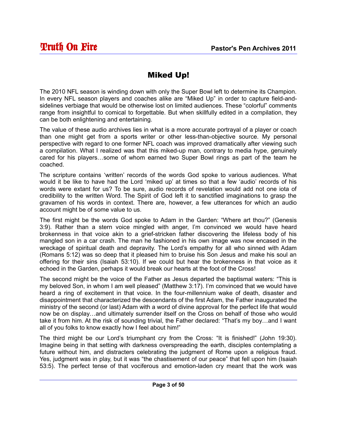#### Miked Up!

The 2010 NFL season is winding down with only the Super Bowl left to determine its Champion. In every NFL season players and coaches alike are "Miked Up" in order to capture field-andsidelines verbiage that would be otherwise lost on limited audiences. These "colorful" comments range from insightful to comical to forgettable. But when skillfully edited in a compilation, they can be both enlightening and entertaining.

The value of these audio archives lies in what is a more accurate portrayal of a player or coach than one might get from a sports writer or other less-than-objective source. My personal perspective with regard to one former NFL coach was improved dramatically after viewing such a compilation. What I realized was that this miked-up man, contrary to media hype, genuinely cared for his players…some of whom earned two Super Bowl rings as part of the team he coached.

The scripture contains 'written' records of the words God spoke to various audiences. What would it be like to have had the Lord 'miked up' at times so that a few 'audio' records of his words were extant for us? To be sure, audio records of revelation would add not one iota of credibility to the written Word. The Spirit of God left it to sanctified imaginations to grasp the gravamen of his words in context. There are, however, a few utterances for which an audio account might be of some value to us.

The first might be the words God spoke to Adam in the Garden: "Where art thou?" (Genesis 3:9). Rather than a stern voice mingled with anger, I'm convinced we would have heard brokenness in that voice akin to a grief-stricken father discovering the lifeless body of his mangled son in a car crash. The man he fashioned in his own image was now encased in the wreckage of spiritual death and depravity. The Lord's empathy for all who sinned with Adam (Romans 5:12) was so deep that it pleased him to bruise his Son Jesus and make his soul an offering for their sins (Isaiah 53:10). If we could but hear the brokenness in that voice as it echoed in the Garden, perhaps it would break our hearts at the foot of the Cross!

The second might be the voice of the Father as Jesus departed the baptismal waters: "This is my beloved Son, in whom I am well pleased" (Matthew 3:17). I'm convinced that we would have heard a ring of excitement in that voice. In the four-millennium wake of death, disaster and disappointment that characterized the descendants of the first Adam, the Father inaugurated the ministry of the second (or last) Adam with a word of divine approval for the perfect life that would now be on display…and ultimately surrender itself on the Cross on behalf of those who would take it from him. At the risk of sounding trivial, the Father declared: "That's my boy…and I want all of you folks to know exactly how I feel about him!"

The third might be our Lord's triumphant cry from the Cross: "It is finished!" (John 19:30). Imagine being in that setting with darkness overspreading the earth, disciples contemplating a future without him, and distracters celebrating the judgment of Rome upon a religious fraud. Yes, judgment was in play, but it was "the chastisement of our peace" that fell upon him (Isaiah 53:5). The perfect tense of that vociferous and emotion-laden cry meant that the work was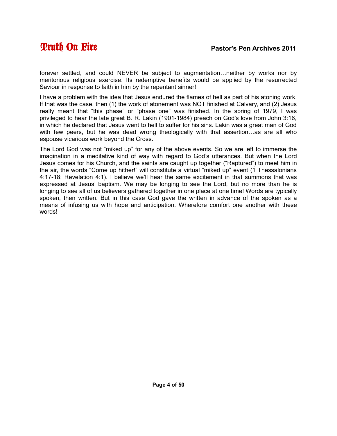forever settled, and could NEVER be subject to augmentation…neither by works nor by meritorious religious exercise. Its redemptive benefits would be applied by the resurrected Saviour in response to faith in him by the repentant sinner!

I have a problem with the idea that Jesus endured the flames of hell as part of his atoning work. If that was the case, then (1) the work of atonement was NOT finished at Calvary, and (2) Jesus really meant that "this phase" or "phase one" was finished. In the spring of 1979, I was privileged to hear the late great B. R. Lakin (1901-1984) preach on God's love from John 3:16, in which he declared that Jesus went to hell to suffer for his sins. Lakin was a great man of God with few peers, but he was dead wrong theologically with that assertion…as are all who espouse vicarious work beyond the Cross.

The Lord God was not "miked up" for any of the above events. So we are left to immerse the imagination in a meditative kind of way with regard to God's utterances. But when the Lord Jesus comes for his Church, and the saints are caught up together ("Raptured") to meet him in the air, the words "Come up hither!" will constitute a virtual "miked up" event (1 Thessalonians 4:17-18; Revelation 4:1). I believe we'll hear the same excitement in that summons that was expressed at Jesus' baptism. We may be longing to see the Lord, but no more than he is longing to see all of us believers gathered together in one place at one time! Words are typically spoken, then written. But in this case God gave the written in advance of the spoken as a means of infusing us with hope and anticipation. Wherefore comfort one another with these words!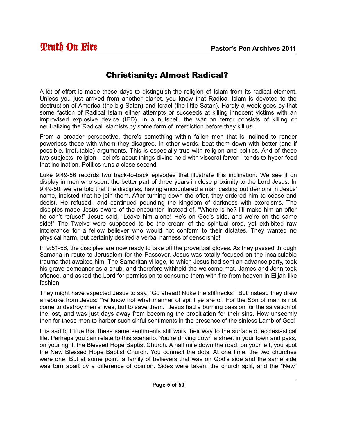#### Christianity: Almost Radical?

A lot of effort is made these days to distinguish the religion of Islam from its radical element. Unless you just arrived from another planet, you know that Radical Islam is devoted to the destruction of America (the big Satan) and Israel (the little Satan). Hardly a week goes by that some faction of Radical Islam either attempts or succeeds at killing innocent victims with an improvised explosive device (IED). In a nutshell, the war on terror consists of killing or neutralizing the Radical Islamists by some form of interdiction before they kill us.

From a broader perspective, there's something within fallen men that is inclined to render powerless those with whom they disagree. In other words, beat them down with better (and if possible, irrefutable) arguments. This is especially true with religion and politics. And of those two subjects, religion—beliefs about things divine held with visceral fervor—tends to hyper-feed that inclination. Politics runs a close second.

Luke 9:49-56 records two back-to-back episodes that illustrate this inclination. We see it on display in men who spent the better part of three years in close proximity to the Lord Jesus. In 9:49-50, we are told that the disciples, having encountered a man casting out demons in Jesus' name, insisted that he join them. After turning down the offer, they ordered him to cease and desist. He refused…and continued pounding the kingdom of darkness with exorcisms. The disciples made Jesus aware of the encounter. Instead of, "Where is he? I'll make him an offer he can't refuse!" Jesus said, "Leave him alone! He's on God's side, and we're on the same side!" The Twelve were supposed to be the cream of the spiritual crop, yet exhibited raw intolerance for a fellow believer who would not conform to their dictates. They wanted no physical harm, but certainly desired a verbal harness of censorship!

In 9:51-56, the disciples are now ready to take off the proverbial gloves. As they passed through Samaria in route to Jerusalem for the Passover, Jesus was totally focused on the incalculable trauma that awaited him. The Samaritan village, to which Jesus had sent an advance party, took his grave demeanor as a snub, and therefore withheld the welcome mat. James and John took offence, and asked the Lord for permission to consume them with fire from heaven in Elijah-like fashion.

They might have expected Jesus to say, "Go ahead! Nuke the stiffnecks!" But instead they drew a rebuke from Jesus: "Ye know not what manner of spirit ye are of. For the Son of man is not come to destroy men's lives, but to save them." Jesus had a burning passion for the salvation of the lost, and was just days away from becoming the propitiation for their sins. How unseemly then for these men to harbor such sinful sentiments in the presence of the sinless Lamb of God!

It is sad but true that these same sentiments still work their way to the surface of ecclesiastical life. Perhaps you can relate to this scenario. You're driving down a street in your town and pass, on your right, the Blessed Hope Baptist Church. A half mile down the road, on your left, you spot the New Blessed Hope Baptist Church. You connect the dots. At one time, the two churches were one. But at some point, a family of believers that was on God's side and the same side was torn apart by a difference of opinion. Sides were taken, the church split, and the "New"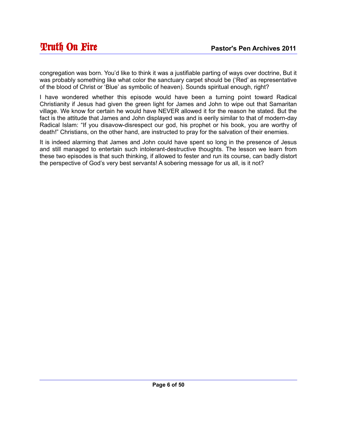congregation was born. You'd like to think it was a justifiable parting of ways over doctrine, But it was probably something like what color the sanctuary carpet should be ('Red' as representative of the blood of Christ or 'Blue' as symbolic of heaven). Sounds spiritual enough, right?

I have wondered whether this episode would have been a turning point toward Radical Christianity if Jesus had given the green light for James and John to wipe out that Samaritan village. We know for certain he would have NEVER allowed it for the reason he stated. But the fact is the attitude that James and John displayed was and is eerily similar to that of modern-day Radical Islam: "If you disavow-disrespect our god, his prophet or his book, you are worthy of death!" Christians, on the other hand, are instructed to pray for the salvation of their enemies.

It is indeed alarming that James and John could have spent so long in the presence of Jesus and still managed to entertain such intolerant-destructive thoughts. The lesson we learn from these two episodes is that such thinking, if allowed to fester and run its course, can badly distort the perspective of God's very best servants! A sobering message for us all, is it not?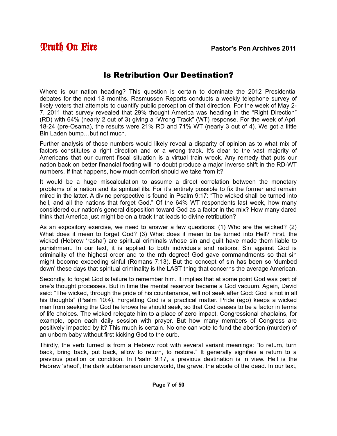#### Is Retribution Our Destination?

Where is our nation heading? This question is certain to dominate the 2012 Presidential debates for the next 18 months. Rasmussen Reports conducts a weekly telephone survey of likely voters that attempts to quantify public perception of that direction. For the week of May 2- 7, 2011 that survey revealed that 29% thought America was heading in the "Right Direction" (RD) with 64% (nearly 2 out of 3) giving a "Wrong Track" (WT) response. For the week of April 18-24 (pre-Osama), the results were 21% RD and 71% WT (nearly 3 out of 4). We got a little Bin Laden bump…but not much.

Further analysis of those numbers would likely reveal a disparity of opinion as to what mix of factors constitutes a right direction and or a wrong track. It's clear to the vast majority of Americans that our current fiscal situation is a virtual train wreck. Any remedy that puts our nation back on better financial footing will no doubt produce a major inverse shift in the RD-WT numbers. If that happens, how much comfort should we take from it?

It would be a huge miscalculation to assume a direct correlation between the monetary problems of a nation and its spiritual ills. For it's entirely possible to fix the former and remain mired in the latter. A divine perspective is found in Psalm 9:17: "The wicked shall be turned into hell, and all the nations that forget God." Of the 64% WT respondents last week, how many considered our nation's general disposition toward God as a factor in the mix? How many dared think that America just might be on a track that leads to divine retribution?

As an expository exercise, we need to answer a few questions: (1) Who are the wicked? (2) What does it mean to forget God? (3) What does it mean to be turned into Hell? First, the wicked (Hebrew 'rasha') are spiritual criminals whose sin and guilt have made them liable to punishment. In our text, it is applied to both individuals and nations. Sin against God is criminality of the highest order and to the nth degree! God gave commandments so that sin might become exceeding sinful (Romans 7:13). But the concept of sin has been so 'dumbed down' these days that spiritual criminality is the LAST thing that concerns the average American.

Secondly, to forget God is failure to remember him. It implies that at some point God was part of one's thought processes. But in time the mental reservoir became a God vacuum. Again, David said: "The wicked, through the pride of his countenance, will not seek after God: God is not in all his thoughts" (Psalm 10:4). Forgetting God is a practical matter. Pride (ego) keeps a wicked man from seeking the God he knows he should seek, so that God ceases to be a factor in terms of life choices. The wicked relegate him to a place of zero impact. Congressional chaplains, for example, open each daily session with prayer. But how many members of Congress are positively impacted by it? This much is certain. No one can vote to fund the abortion (murder) of an unborn baby without first kicking God to the curb.

Thirdly, the verb turned is from a Hebrew root with several variant meanings: "to return, turn back, bring back, put back, allow to return, to restore." It generally signifies a return to a previous position or condition. In Psalm 9:17, a previous destination is in view. Hell is the Hebrew 'sheol', the dark subterranean underworld, the grave, the abode of the dead. In our text,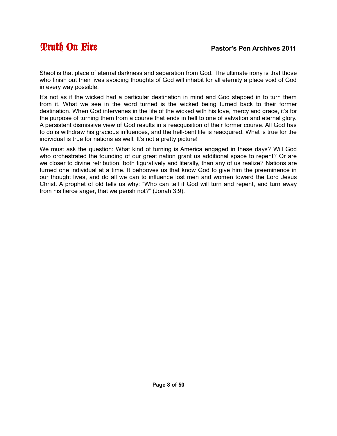Sheol is that place of eternal darkness and separation from God. The ultimate irony is that those who finish out their lives avoiding thoughts of God will inhabit for all eternity a place void of God in every way possible.

It's not as if the wicked had a particular destination in mind and God stepped in to turn them from it. What we see in the word turned is the wicked being turned back to their former destination. When God intervenes in the life of the wicked with his love, mercy and grace, it's for the purpose of turning them from a course that ends in hell to one of salvation and eternal glory. A persistent dismissive view of God results in a reacquisition of their former course. All God has to do is withdraw his gracious influences, and the hell-bent life is reacquired. What is true for the individual is true for nations as well. It's not a pretty picture!

We must ask the question: What kind of turning is America engaged in these days? Will God who orchestrated the founding of our great nation grant us additional space to repent? Or are we closer to divine retribution, both figuratively and literally, than any of us realize? Nations are turned one individual at a time. It behooves us that know God to give him the preeminence in our thought lives, and do all we can to influence lost men and women toward the Lord Jesus Christ. A prophet of old tells us why: "Who can tell if God will turn and repent, and turn away from his fierce anger, that we perish not?" (Jonah 3:9).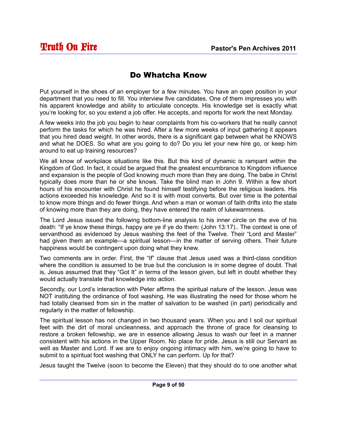#### Do Whatcha Know

Put yourself in the shoes of an employer for a few minutes. You have an open position in your department that you need to fill. You interview five candidates. One of them impresses you with his apparent knowledge and ability to articulate concepts. His knowledge set is exactly what you're looking for, so you extend a job offer. He accepts, and reports for work the next Monday.

A few weeks into the job you begin to hear complaints from his co-workers that he really cannot perform the tasks for which he was hired. After a few more weeks of input gathering it appears that you hired dead weight. In other words, there is a significant gap between what he KNOWS and what he DOES. So what are you going to do? Do you let your new hire go, or keep him around to eat up training resources?

We all know of workplace situations like this. But this kind of dynamic is rampant within the Kingdom of God. In fact, it could be argued that the greatest encumbrance to Kingdom influence and expansion is the people of God knowing much more than they are doing. The babe in Christ typically does more than he or she knows. Take the blind man in John 9. Within a few short hours of his encounter with Christ he found himself testifying before the religious leaders. His actions exceeded his knowledge. And so it is with most converts. But over time is the potential to know more things and do fewer things. And when a man or woman of faith drifts into the state of knowing more than they are doing, they have entered the realm of lukewarmness.

The Lord Jesus issued the following bottom-line analysis to his inner circle on the eve of his death: "If ye know these things, happy are ye if ye do them: (John 13:17).. The context is one of servanthood as evidenced by Jesus washing the feet of the Twelve. Their "Lord and Master" had given them an example—a spiritual lesson—in the matter of serving others. Their future happiness would be contingent upon doing what they knew.

Two comments are in order. First, the "If" clause that Jesus used was a third-class condition where the condition is assumed to be true but the conclusion is in some degree of doubt. That is, Jesus assumed that they "Got It" in terms of the lesson given, but left in doubt whether they would actually translate that knowledge into action.

Secondly, our Lord's interaction with Peter affirms the spiritual nature of the lesson. Jesus was NOT instituting the ordinance of foot washing. He was illustrating the need for those whom he had totally cleansed from sin in the matter of salvation to be washed (in part) periodically and regularly in the matter of fellowship.

The spiritual lesson has not changed in two thousand years. When you and I soil our spiritual feet with the dirt of moral uncleanness, and approach the throne of grace for cleansing to restore a broken fellowship, we are in essence allowing Jesus to wash our feet in a manner consistent with his actions in the Upper Room. No place for pride. Jesus is still our Servant as well as Master and Lord. If we are to enjoy ongoing intimacy with him, we're going to have to submit to a spiritual foot washing that ONLY he can perform. Up for that?

Jesus taught the Twelve (soon to become the Eleven) that they should do to one another what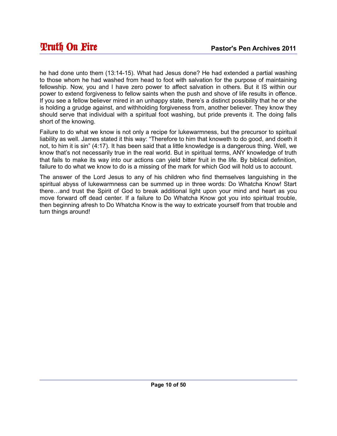he had done unto them (13:14-15). What had Jesus done? He had extended a partial washing to those whom he had washed from head to foot with salvation for the purpose of maintaining fellowship. Now, you and I have zero power to affect salvation in others. But it IS within our power to extend forgiveness to fellow saints when the push and shove of life results in offence. If you see a fellow believer mired in an unhappy state, there's a distinct possibility that he or she is holding a grudge against, and withholding forgiveness from, another believer. They know they should serve that individual with a spiritual foot washing, but pride prevents it. The doing falls short of the knowing.

Failure to do what we know is not only a recipe for lukewarmness, but the precursor to spiritual liability as well. James stated it this way: "Therefore to him that knoweth to do good, and doeth it not, to him it is sin" (4:17). It has been said that a little knowledge is a dangerous thing. Well, we know that's not necessarily true in the real world. But in spiritual terms, ANY knowledge of truth that fails to make its way into our actions can yield bitter fruit in the life. By biblical definition, failure to do what we know to do is a missing of the mark for which God will hold us to account.

The answer of the Lord Jesus to any of his children who find themselves languishing in the spiritual abyss of lukewarmness can be summed up in three words: Do Whatcha Know! Start there…and trust the Spirit of God to break additional light upon your mind and heart as you move forward off dead center. If a failure to Do Whatcha Know got you into spiritual trouble, then beginning afresh to Do Whatcha Know is the way to extricate yourself from that trouble and turn things around!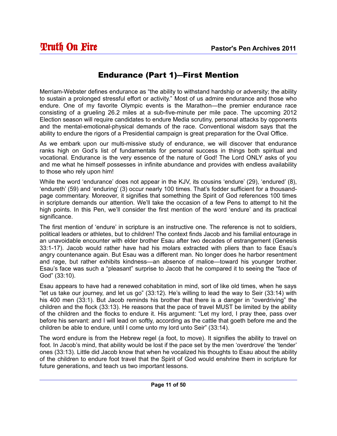#### Endurance (Part 1)―First Mention

Merriam-Webster defines endurance as "the ability to withstand hardship or adversity; the ability to sustain a prolonged stressful effort or activity." Most of us admire endurance and those who endure. One of my favorite Olympic events is the Marathon—the premier endurance race consisting of a grueling 26.2 miles at a sub-five-minute per mile pace. The upcoming 2012 Election season will require candidates to endure Media scrutiny, personal attacks by opponents and the mental-emotional-physical demands of the race. Conventional wisdom says that the ability to endure the rigors of a Presidential campaign is great preparation for the Oval Office.

As we embark upon our multi-missive study of endurance, we will discover that endurance ranks high on God's list of fundamentals for personal success in things both spiritual and vocational. Endurance is the very essence of the nature of God! The Lord ONLY asks of you and me what he himself possesses in infinite abundance and provides with endless availability to those who rely upon him!

While the word 'endurance' does not appear in the KJV, its cousins 'endure' (29), 'endured' (8), 'endureth' (59) and 'enduring' (3) occur nearly 100 times. That's fodder sufficient for a thousandpage commentary. Moreover, it signifies that something the Spirit of God references 100 times in scripture demands our attention. We'll take the occasion of a few Pens to attempt to hit the high points. In this Pen, we'll consider the first mention of the word 'endure' and its practical significance.

The first mention of 'endure' in scripture is an instructive one. The reference is not to soldiers, political leaders or athletes, but to children! The context finds Jacob and his familial entourage in an unavoidable encounter with elder brother Esau after two decades of estrangement (Genesis 33:1-17). Jacob would rather have had his molars extracted with pliers than to face Esau's angry countenance again. But Esau was a different man. No longer does he harbor resentment and rage, but rather exhibits kindness—an absence of malice—toward his younger brother. Esau's face was such a "pleasant" surprise to Jacob that he compared it to seeing the "face of God" (33:10).

Esau appears to have had a renewed cohabitation in mind, sort of like old times, when he says "let us take our journey, and let us go" (33:12). He's willing to lead the way to Seir (33:14) with his 400 men (33:1). But Jacob reminds his brother that there is a danger in "overdriving" the children and the flock (33:13). He reasons that the pace of travel MUST be limited by the ability of the children and the flocks to endure it. His argument: "Let my lord, I pray thee, pass over before his servant: and I will lead on softly, according as the cattle that goeth before me and the children be able to endure, until I come unto my lord unto Seir" (33:14).

The word endure is from the Hebrew regel (a foot, to move). It signifies the ability to travel on foot. In Jacob's mind, that ability would be lost if the pace set by the men 'overdrove' the 'tender' ones (33:13). Little did Jacob know that when he vocalized his thoughts to Esau about the ability of the children to endure foot travel that the Spirit of God would enshrine them in scripture for future generations, and teach us two important lessons.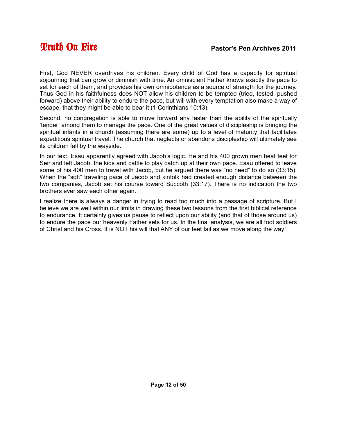First, God NEVER overdrives his children. Every child of God has a capacity for spiritual sojourning that can grow or diminish with time. An omniscient Father knows exactly the pace to set for each of them, and provides his own omnipotence as a source of strength for the journey. Thus God in his faithfulness does NOT allow his children to be tempted (tried, tested, pushed forward) above their ability to endure the pace, but will with every temptation also make a way of escape, that they might be able to bear it (1 Corinthians 10:13).

Second, no congregation is able to move forward any faster than the ability of the spiritually 'tender' among them to manage the pace. One of the great values of discipleship is bringing the spiritual infants in a church (assuming there are some) up to a level of maturity that facilitates expeditious spiritual travel. The church that neglects or abandons discipleship will ultimately see its children fall by the wayside.

In our text, Esau apparently agreed with Jacob's logic. He and his 400 grown men beat feet for Seir and left Jacob, the kids and cattle to play catch up at their own pace. Esau offered to leave some of his 400 men to travel with Jacob, but he argued there was "no need" to do so (33:15). When the "soft" traveling pace of Jacob and kinfolk had created enough distance between the two companies, Jacob set his course toward Succoth (33:17). There is no indication the two brothers ever saw each other again.

I realize there is always a danger in trying to read too much into a passage of scripture. But I believe we are well within our limits in drawing these two lessons from the first biblical reference to endurance. It certainly gives us pause to reflect upon our ability (and that of those around us) to endure the pace our heavenly Father sets for us. In the final analysis, we are all foot soldiers of Christ and his Cross. It is NOT his will that ANY of our feet fail as we move along the way!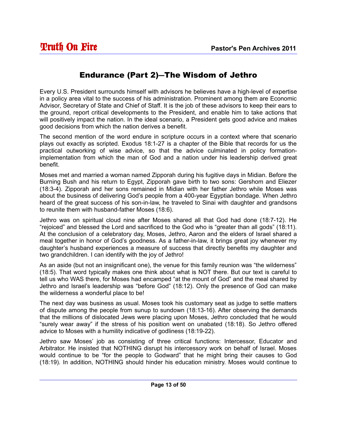#### Endurance (Part 2)―The Wisdom of Jethro

Every U.S. President surrounds himself with advisors he believes have a high-level of expertise in a policy area vital to the success of his administration. Prominent among them are Economic Advisor, Secretary of State and Chief of Staff. It is the job of these advisors to keep their ears to the ground, report critical developments to the President, and enable him to take actions that will positively impact the nation. In the ideal scenario, a President gets good advice and makes good decisions from which the nation derives a benefit.

The second mention of the word endure in scripture occurs in a context where that scenario plays out exactly as scripted. Exodus 18:1-27 is a chapter of the Bible that records for us the practical outworking of wise advice, so that the advice culminated in policy formationimplementation from which the man of God and a nation under his leadership derived great benefit.

Moses met and married a woman named Zipporah during his fugitive days in Midian. Before the Burning Bush and his return to Egypt, Zipporah gave birth to two sons: Gershom and Eliezer (18:3-4). Zipporah and her sons remained in Midian with her father Jethro while Moses was about the business of delivering God's people from a 400-year Egyptian bondage. When Jethro heard of the great success of his son-in-law, he traveled to Sinai with daughter and grandsons to reunite them with husband-father Moses (18:6).

Jethro was on spiritual cloud nine after Moses shared all that God had done (18:7-12). He "rejoiced" and blessed the Lord and sacrificed to the God who is "greater than all gods" (18:11). At the conclusion of a celebratory day, Moses, Jethro, Aaron and the elders of Israel shared a meal together in honor of God's goodness. As a father-in-law, it brings great joy whenever my daughter's husband experiences a measure of success that directly benefits my daughter and two grandchildren. I can identify with the joy of Jethro!

As an aside (but not an insignificant one), the venue for this family reunion was "the wilderness" (18:5). That word typically makes one think about what is NOT there. But our text is careful to tell us who WAS there, for Moses had encamped "at the mount of God" and the meal shared by Jethro and Israel's leadership was "before God" (18:12). Only the presence of God can make the wilderness a wonderful place to be!

The next day was business as usual. Moses took his customary seat as judge to settle matters of dispute among the people from sunup to sundown (18:13-16). After observing the demands that the millions of dislocated Jews were placing upon Moses, Jethro concluded that he would "surely wear away" if the stress of his position went on unabated (18:18). So Jethro offered advice to Moses with a humility indicative of godliness (18:19-22).

Jethro saw Moses' job as consisting of three critical functions: Intercessor, Educator and Arbitrator. He insisted that NOTHING disrupt his intercessory work on behalf of Israel. Moses would continue to be "for the people to Godward" that he might bring their causes to God (18:19). In addition, NOTHING should hinder his education ministry. Moses would continue to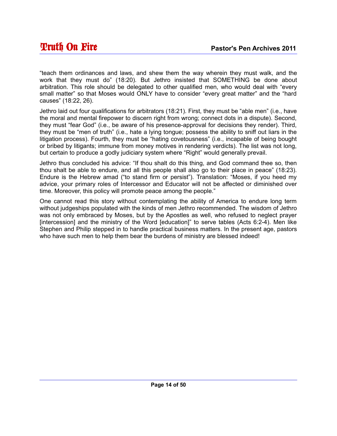"teach them ordinances and laws, and shew them the way wherein they must walk, and the work that they must do" (18:20). But Jethro insisted that SOMETHING be done about arbitration. This role should be delegated to other qualified men, who would deal with "every small matter" so that Moses would ONLY have to consider "every great matter" and the "hard causes" (18:22, 26).

Jethro laid out four qualifications for arbitrators (18:21). First, they must be "able men" (i.e., have the moral and mental firepower to discern right from wrong; connect dots in a dispute). Second, they must "fear God" (i.e., be aware of his presence-approval for decisions they render). Third, they must be "men of truth" (i.e., hate a lying tongue; possess the ability to sniff out liars in the litigation process). Fourth, they must be "hating covetousness" (i.e., incapable of being bought or bribed by litigants; immune from money motives in rendering verdicts). The list was not long, but certain to produce a godly judiciary system where "Right" would generally prevail.

Jethro thus concluded his advice: "If thou shalt do this thing, and God command thee so, then thou shalt be able to endure, and all this people shall also go to their place in peace" (18:23). Endure is the Hebrew amad ("to stand firm or persist"). Translation: "Moses, if you heed my advice, your primary roles of Intercessor and Educator will not be affected or diminished over time. Moreover, this policy will promote peace among the people."

One cannot read this story without contemplating the ability of America to endure long term without judgeships populated with the kinds of men Jethro recommended. The wisdom of Jethro was not only embraced by Moses, but by the Apostles as well, who refused to neglect prayer [intercession] and the ministry of the Word [education]" to serve tables (Acts 6:2-4). Men like Stephen and Philip stepped in to handle practical business matters. In the present age, pastors who have such men to help them bear the burdens of ministry are blessed indeed!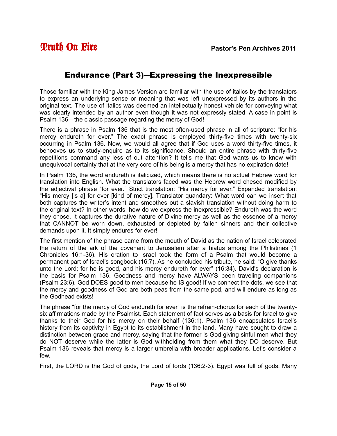#### Endurance (Part 3)―Expressing the Inexpressible

Those familiar with the King James Version are familiar with the use of italics by the translators to express an underlying sense or meaning that was left unexpressed by its authors in the original text. The use of italics was deemed an intellectually honest vehicle for conveying what was clearly intended by an author even though it was not expressly stated. A case in point is Psalm 136—the classic passage regarding the mercy of God!

There is a phrase in Psalm 136 that is the most often-used phrase in all of scripture: "for his mercy endureth for ever." The exact phrase is employed thirty-five times with twenty-six occurring in Psalm 136. Now, we would all agree that if God uses a word thirty-five times, it behooves us to study-enquire as to its significance. Should an entire phrase with thirty-five repetitions command any less of out attention? It tells me that God wants us to know with unequivocal certainty that at the very core of his being is a mercy that has no expiration date!

In Psalm 136, the word endureth is italicized, which means there is no actual Hebrew word for translation into English. What the translators faced was the Hebrew word chesed modified by the adjectival phrase "for ever." Strict translation: "His mercy for ever." Expanded translation: "His mercy [is a] for ever [kind of mercy]. Translator quandary: What word can we insert that both captures the writer's intent and smoothes out a slavish translation without doing harm to the original text? In other words, how do we express the inexpressible? Endureth was the word they chose. It captures the durative nature of Divine mercy as well as the essence of a mercy that CANNOT be worn down, exhausted or depleted by fallen sinners and their collective demands upon it. It simply endures for ever!

The first mention of the phrase came from the mouth of David as the nation of Israel celebrated the return of the ark of the covenant to Jerusalem after a hiatus among the Philistines (1 Chronicles 16:1-36). His oration to Israel took the form of a Psalm that would become a permanent part of Israel's songbook (16:7). As he concluded his tribute, he said: "O give thanks unto the Lord; for he is good, and his mercy endureth for ever" (16:34). David's declaration is the basis for Psalm 136. Goodness and mercy have ALWAYS been traveling companions (Psalm 23:6). God DOES good to men because he IS good! If we connect the dots, we see that the mercy and goodness of God are both peas from the same pod, and will endure as long as the Godhead exists!

The phrase "for the mercy of God endureth for ever" is the refrain-chorus for each of the twentysix affirmations made by the Psalmist. Each statement of fact serves as a basis for Israel to give thanks to their God for his mercy on their behalf (136:1). Psalm 136 encapsulates Israel's history from its captivity in Egypt to its establishment in the land. Many have sought to draw a distinction between grace and mercy, saying that the former is God giving sinful men what they do NOT deserve while the latter is God withholding from them what they DO deserve. But Psalm 136 reveals that mercy is a larger umbrella with broader applications. Let's consider a few.

First, the LORD is the God of gods, the Lord of lords (136:2-3). Egypt was full of gods. Many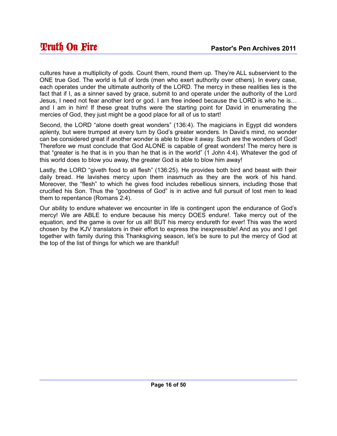cultures have a multiplicity of gods. Count them, round them up. They're ALL subservient to the ONE true God. The world is full of lords (men who exert authority over others). In every case, each operates under the ultimate authority of the LORD. The mercy in these realities lies is the fact that if I, as a sinner saved by grace, submit to and operate under the authority of the Lord Jesus, I need not fear another lord or god. I am free indeed because the LORD is who he is… and I am in him! If these great truths were the starting point for David in enumerating the mercies of God, they just might be a good place for all of us to start!

Second, the LORD "alone doeth great wonders" (136:4). The magicians in Egypt did wonders aplenty, but were trumped at every turn by God's greater wonders. In David's mind, no wonder can be considered great if another wonder is able to blow it away. Such are the wonders of God! Therefore we must conclude that God ALONE is capable of great wonders! The mercy here is that "greater is he that is in you than he that is in the world" (1 John 4:4). Whatever the god of this world does to blow you away, the greater God is able to blow him away!

Lastly, the LORD "giveth food to all flesh" (136:25). He provides both bird and beast with their daily bread. He lavishes mercy upon them inasmuch as they are the work of his hand. Moreover, the "flesh" to which he gives food includes rebellious sinners, including those that crucified his Son. Thus the "goodness of God" is in active and full pursuit of lost men to lead them to repentance (Romans 2:4).

Our ability to endure whatever we encounter in life is contingent upon the endurance of God's mercy! We are ABLE to endure because his mercy DOES endure!. Take mercy out of the equation, and the game is over for us all! BUT his mercy endureth for ever! This was the word chosen by the KJV translators in their effort to express the inexpressible! And as you and I get together with family during this Thanksgiving season, let's be sure to put the mercy of God at the top of the list of things for which we are thankful!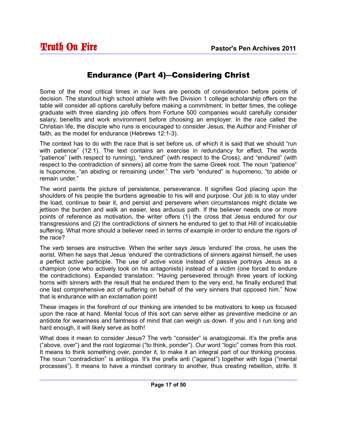#### Endurance (Part 4)―Considering Christ

Some of the most critical times in our lives are periods of consideration before points of decision. The standout high school athlete with five Division 1 college scholarship offers on the table will consider all options carefully before making a commitment. In better times, the college graduate with three standing job offers from Fortune 500 companies would carefully consider salary, benefits and work environment before choosing an employer. In the race called the Christian life, the disciple who runs is encouraged to consider Jesus, the Author and Finisher of faith, as the model for endurance (Hebrews 12:1-3).

The context has to do with the race that is set before us, of which it is said that we should "run with patience" (12:1). The text contains an exercise in redundancy for effect. The words "patience" (with respect to running), "endured" (with respect to the Cross), and "endured" (with respect to the contradiction of sinners) all come from the same Greek root. The noun "patience" is hupomone, "an abiding or remaining under." The verb "endured" is hupomeno, "to abide or remain under."

The word paints the picture of persistence, perseverance. It signifies God placing upon the shoulders of his people the burdens agreeable to his will and purpose. Our job is to stay under the load, continue to bear it, and persist and persevere when circumstances might dictate we jettison the burden and walk an easier, less arduous path. If the believer needs one or more points of reference as motivation, the writer offers (1) the cross that Jesus endured for our transgressions and (2) the contradictions of sinners he endured to get to that Hill of incalculable suffering. What more should a believer need in terms of example in order to endure the rigors of the race?

The verb tenses are instructive. When the writer says Jesus 'endured' the cross, he uses the aorist. When he says that Jesus 'endured' the contradictions of sinners against himself, he uses a perfect active participle. The use of active voice instead of passive portrays Jesus as a champion (one who actively took on his antagonists) instead of a victim (one forced to endure the contradictions). Expanded translation: "Having persevered through three years of locking horns with sinners with the result that he endured them to the very end, he finally endured that one last comprehensive act of suffering on behalf of the very sinners that opposed him." Now that is endurance with an exclamation point!

These images in the forefront of our thinking are intended to be motivators to keep us focused upon the race at hand. Mental focus of this sort can serve either as preventive medicine or an antidote for weariness and faintness of mind that can weigh us down. If you and I run long and hard enough, it will likely serve as both!

What does it mean to consider Jesus? The verb "consider" is analogizomai. It's the prefix ana ("above, over") and the root logizomai ("to think, ponder"). Our word "logic" comes from this root. It means to think something over, ponder it, to make it an integral part of our thinking process. The noun "contradiction" is antilogia. It's the prefix anti ("against") together with logia ("mental processes"). It means to have a mindset contrary to another, thus creating rebellion, strife. It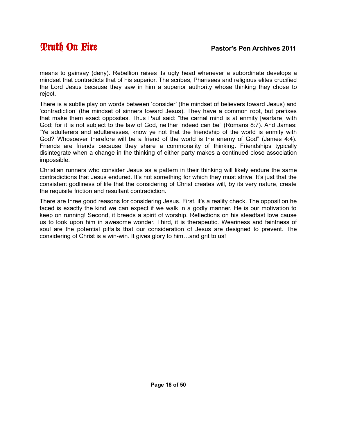means to gainsay (deny). Rebellion raises its ugly head whenever a subordinate develops a mindset that contradicts that of his superior. The scribes, Pharisees and religious elites crucified the Lord Jesus because they saw in him a superior authority whose thinking they chose to reject.

There is a subtle play on words between 'consider' (the mindset of believers toward Jesus) and 'contradiction' (the mindset of sinners toward Jesus). They have a common root, but prefixes that make them exact opposites. Thus Paul said: "the carnal mind is at enmity [warfare] with God; for it is not subject to the law of God, neither indeed can be" (Romans 8:7). And James: "Ye adulterers and adulteresses, know ye not that the friendship of the world is enmity with God? Whosoever therefore will be a friend of the world is the enemy of God" (James 4:4). Friends are friends because they share a commonality of thinking. Friendships typically disintegrate when a change in the thinking of either party makes a continued close association impossible.

Christian runners who consider Jesus as a pattern in their thinking will likely endure the same contradictions that Jesus endured. It's not something for which they must strive. It's just that the consistent godliness of life that the considering of Christ creates will, by its very nature, create the requisite friction and resultant contradiction.

There are three good reasons for considering Jesus. First, it's a reality check. The opposition he faced is exactly the kind we can expect if we walk in a godly manner. He is our motivation to keep on running! Second, it breeds a spirit of worship. Reflections on his steadfast love cause us to look upon him in awesome wonder. Third, it is therapeutic. Weariness and faintness of soul are the potential pitfalls that our consideration of Jesus are designed to prevent. The considering of Christ is a win-win. It gives glory to him…and grit to us!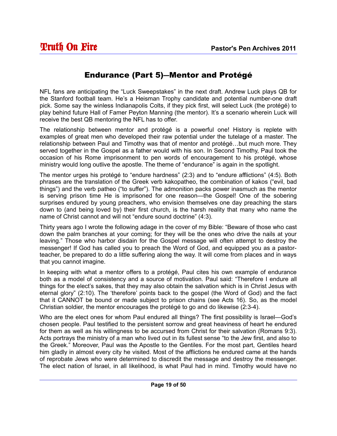#### Endurance (Part 5)―Mentor and Protégé

NFL fans are anticipating the "Luck Sweepstakes" in the next draft. Andrew Luck plays QB for the Stanford football team. He's a Heisman Trophy candidate and potential number-one draft pick. Some say the winless Indianapolis Colts, if they pick first, will select Luck (the protégé) to play behind future Hall of Famer Peyton Manning (the mentor). It's a scenario wherein Luck will receive the best QB mentoring the NFL has to offer.

The relationship between mentor and protégé is a powerful one! History is replete with examples of great men who developed their raw potential under the tutelage of a master. The relationship between Paul and Timothy was that of mentor and protégé…but much more. They served together in the Gospel as a father would with his son. In Second Timothy, Paul took the occasion of his Rome imprisonment to pen words of encouragement to his protégé, whose ministry would long outlive the apostle. The theme of "endurance" is again in the spotlight.

The mentor urges his protégé to "endure hardness" (2:3) and to "endure afflictions" (4:5). Both phrases are the translation of the Greek verb kakopatheo, the combination of kakos ("evil, bad things") and the verb patheo ("to suffer"). The admonition packs power inasmuch as the mentor is serving prison time He is imprisoned for one reason—the Gospel! One of the sobering surprises endured by young preachers, who envision themselves one day preaching the stars down to (and being loved by) their first church, is the harsh reality that many who name the name of Christ cannot and will not "endure sound doctrine" (4:3).

Thirty years ago I wrote the following adage in the cover of my Bible: "Beware of those who cast down the palm branches at your coming; for they will be the ones who drive the nails at your leaving." Those who harbor disdain for the Gospel message will often attempt to destroy the messenger! If God has called you to preach the Word of God, and equipped you as a pastorteacher, be prepared to do a little suffering along the way. It will come from places and in ways that you cannot imagine.

In keeping with what a mentor offers to a protégé, Paul cites his own example of endurance both as a model of consistency and a source of motivation. Paul said: "Therefore I endure all things for the elect's sakes, that they may also obtain the salvation which is in Christ Jesus with eternal glory" (2:10). The 'therefore' points back to the gospel (the Word of God) and the fact that it CANNOT be bound or made subject to prison chains (see Acts 16). So, as the model Christian soldier, the mentor encourages the protégé to go and do likewise (2:3-4).

Who are the elect ones for whom Paul endured all things? The first possibility is Israel—God's chosen people. Paul testified to the persistent sorrow and great heaviness of heart he endured for them as well as his willingness to be accursed from Christ for their salvation (Romans 9:3). Acts portrays the ministry of a man who lived out in its fullest sense "to the Jew first, and also to the Greek." Moreover, Paul was the Apostle to the Gentiles. For the most part, Gentiles heard him gladly in almost every city he visited. Most of the afflictions he endured came at the hands of reprobate Jews who were determined to discredit the message and destroy the messenger. The elect nation of Israel, in all likelihood, is what Paul had in mind. Timothy would have no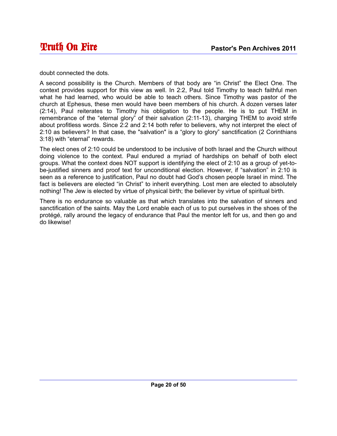doubt connected the dots.

A second possibility is the Church. Members of that body are "in Christ" the Elect One. The context provides support for this view as well. In 2:2, Paul told Timothy to teach faithful men what he had learned, who would be able to teach others. Since Timothy was pastor of the church at Ephesus, these men would have been members of his church. A dozen verses later (2:14), Paul reiterates to Timothy his obligation to the people. He is to put THEM in remembrance of the "eternal glory" of their salvation (2:11-13), charging THEM to avoid strife about profitless words. Since 2:2 and 2:14 both refer to believers, why not interpret the elect of 2:10 as believers? In that case, the "salvation" is a "glory to glory" sanctification (2 Corinthians 3:18) with "eternal" rewards.

The elect ones of 2:10 could be understood to be inclusive of both Israel and the Church without doing violence to the context. Paul endured a myriad of hardships on behalf of both elect groups. What the context does NOT support is identifying the elect of 2:10 as a group of yet-tobe-justified sinners and proof text for unconditional election. However, if "salvation" in 2:10 is seen as a reference to justification, Paul no doubt had God's chosen people Israel in mind. The fact is believers are elected "in Christ" to inherit everything. Lost men are elected to absolutely nothing! The Jew is elected by virtue of physical birth; the believer by virtue of spiritual birth.

There is no endurance so valuable as that which translates into the salvation of sinners and sanctification of the saints. May the Lord enable each of us to put ourselves in the shoes of the protégé, rally around the legacy of endurance that Paul the mentor left for us, and then go and do likewise!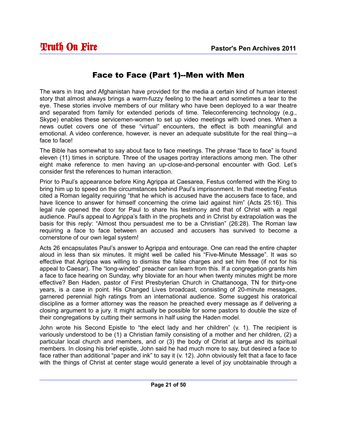#### Face to Face (Part 1)--Men with Men

The wars in Iraq and Afghanistan have provided for the media a certain kind of human interest story that almost always brings a warm-fuzzy feeling to the heart and sometimes a tear to the eye. These stories involve members of our military who have been deployed to a war theatre and separated from family for extended periods of time. Teleconferencing technology (e.g., Skype) enables these servicemen-women to set up video meetings with loved ones. When a news outlet covers one of these "virtual" encounters, the effect is both meaningful and emotional. A video conference, however, is never an adequate substitute for the real thing—a face to face!

The Bible has somewhat to say about face to face meetings. The phrase "face to face" is found eleven (11) times in scripture. Three of the usages portray interactions among men. The other eight make reference to men having an up-close-and-personal encounter with God. Let's consider first the references to human interaction.

Prior to Paul's appearance before King Agrippa at Caesarea, Festus conferred with the King to bring him up to speed on the circumstances behind Paul's imprisonment. In that meeting Festus cited a Roman legality requiring "that he which is accused have the accusers face to face, and have licence to answer for himself concerning the crime laid against him" (Acts 25:16). This legal rule opened the door for Paul to share his testimony and that of Christ with a regal audience. Paul's appeal to Agrippa's faith in the prophets and in Christ by extrapolation was the basis for this reply: "Almost thou persuadest me to be a Christian" (26:28). The Roman law requiring a face to face between an accused and accusers has survived to become a cornerstone of our own legal system!

Acts 26 encapsulates Paul's answer to Agrippa and entourage. One can read the entire chapter aloud in less than six minutes. It might well be called his "Five-Minute Message". It was so effective that Agrippa was willing to dismiss the false charges and set him free (if not for his appeal to Caesar). The "long-winded" preacher can learn from this. If a congregation grants him a face to face hearing on Sunday, why bloviate for an hour when twenty minutes might be more effective? Ben Haden, pastor of First Presbyterian Church in Chattanooga, TN for thirty-one years, is a case in point. His Changed Lives broadcast, consisting of 20-minute messages, garnered perennial high ratings from an international audience. Some suggest his oratorical discipline as a former attorney was the reason he preached every message as if delivering a closing argument to a jury. It might actually be possible for some pastors to double the size of their congregations by cutting their sermons in half using the Haden model.

John wrote his Second Epistle to "the elect lady and her children" (v. 1). The recipient is variously understood to be (1) a Christian family consisting of a mother and her children, (2) a particular local church and members, and or (3) the body of Christ at large and its spiritual members. In closing his brief epistle, John said he had much more to say, but desired a face to face rather than additional "paper and ink" to say it (v. 12). John obviously felt that a face to face with the things of Christ at center stage would generate a level of joy unobtainable through a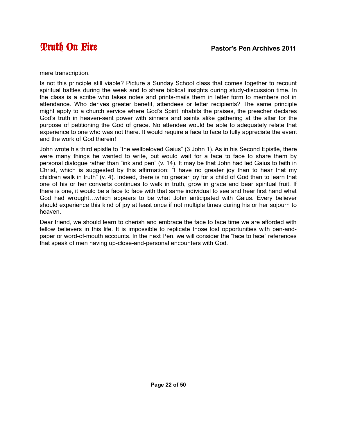mere transcription.

Is not this principle still viable? Picture a Sunday School class that comes together to recount spiritual battles during the week and to share biblical insights during study-discussion time. In the class is a scribe who takes notes and prints-mails them in letter form to members not in attendance. Who derives greater benefit, attendees or letter recipients? The same principle might apply to a church service where God's Spirit inhabits the praises, the preacher declares God's truth in heaven-sent power with sinners and saints alike gathering at the altar for the purpose of petitioning the God of grace. No attendee would be able to adequately relate that experience to one who was not there. It would require a face to face to fully appreciate the event and the work of God therein!

John wrote his third epistle to "the wellbeloved Gaius" (3 John 1). As in his Second Epistle, there were many things he wanted to write, but would wait for a face to face to share them by personal dialogue rather than "ink and pen" (v. 14). It may be that John had led Gaius to faith in Christ, which is suggested by this affirmation: "I have no greater joy than to hear that my children walk in truth" (v. 4). Indeed, there is no greater joy for a child of God than to learn that one of his or her converts continues to walk in truth, grow in grace and bear spiritual fruit. If there is one, it would be a face to face with that same individual to see and hear first hand what God had wrought…which appears to be what John anticipated with Gaius. Every believer should experience this kind of joy at least once if not multiple times during his or her sojourn to heaven.

Dear friend, we should learn to cherish and embrace the face to face time we are afforded with fellow believers in this life. It is impossible to replicate those lost opportunities with pen-andpaper or word-of-mouth accounts. In the next Pen, we will consider the "face to face" references that speak of men having up-close-and-personal encounters with God.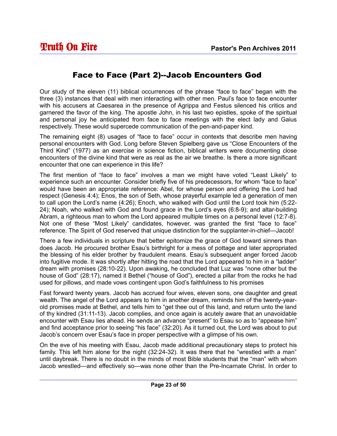#### Face to Face (Part 2)--Jacob Encounters God

Our study of the eleven (11) biblical occurrences of the phrase "face to face" began with the three (3) instances that deal with men interacting with other men. Paul's face to face encounter with his accusers at Caesarea in the presence of Agrippa and Festus silenced his critics and garnered the favor of the king. The apostle John, in his last two epistles, spoke of the spiritual and personal joy he anticipated from face to face meetings with the elect lady and Gaius respectively. These would supercede communication of the pen-and-paper kind.

The remaining eight (8) usages of "face to face" occur in contexts that describe men having personal encounters with God. Long before Steven Spielberg gave us "Close Encounters of the Third Kind" (1977) as an exercise in science fiction, biblical writers were documenting close encounters of the divine kind that were as real as the air we breathe. Is there a more significant encounter that one can experience in this life?

The first mention of "face to face" involves a man we might have voted "Least Likely" to experience such an encounter. Consider briefly five of his predecessors, for whom "face to face" would have been an appropriate reference: Abel, for whose person and offering the Lord had respect (Genesis 4:4); Enos, the son of Seth, whose prayerful example led a generation of men to call upon the Lord's name (4:26); Enoch, who walked with God until the Lord took him (5:22- 24); Noah, who walked with God and found grace in the Lord's eyes (6:8-9); and altar-building Abram, a righteous man to whom the Lord appeared multiple times on a personal level (12:7-8). Not one of these "Most Likely" candidates, however, was granted the first "face to face" reference. The Spirit of God reserved that unique distinction for the supplanter-in-chief—Jacob!

There a few individuals in scripture that better epitomize the grace of God toward sinners than does Jacob. He procured brother Esau's birthright for a mess of pottage and later appropriated the blessing of his elder brother by fraudulent means. Esau's subsequent anger forced Jacob into fugitive mode. It was shortly after hitting the road that the Lord appeared to him in a "ladder" dream with promises (28:10-22). Upon awaking, he concluded that Luz was "none other but the house of God" (28:17), named it Bethel ("house of God"), erected a pillar from the rocks he had used for pillows, and made vows contingent upon God's faithfulness to his promises

Fast forward twenty years. Jacob has accrued four wives, eleven sons, one daughter and great wealth. The angel of the Lord appears to him in another dream, reminds him of the twenty-yearold promises made at Bethel, and tells him to "get thee out of this land, and return unto the land of thy kindred (31:11-13). Jacob complies, and once again is acutely aware that an unavoidable encounter with Esau lies ahead. He sends an advance "present" to Esau so as to "appease him" and find acceptance prior to seeing "his face" (32:20). As it turned out, the Lord was about to put Jacob's concern over Esau's face in proper perspective with a glimpse of his own.

On the eve of his meeting with Esau, Jacob made additional precautionary steps to protect his family. This left him alone for the night (32:24-32). It was there that he "wrestled with a man" until daybreak. There is no doubt in the minds of most Bible students that the "man" with whom Jacob wrestled—and effectively so—was none other than the Pre-Incarnate Christ. In order to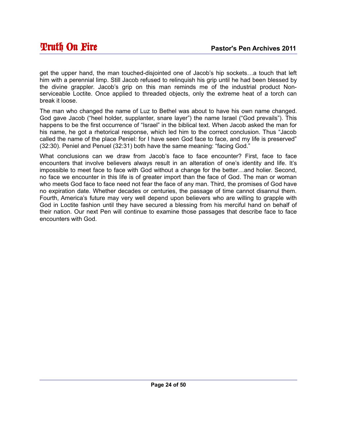get the upper hand, the man touched-disjointed one of Jacob's hip sockets…a touch that left him with a perennial limp. Still Jacob refused to relinquish his grip until he had been blessed by the divine grappler. Jacob's grip on this man reminds me of the industrial product Nonserviceable Loctite. Once applied to threaded objects, only the extreme heat of a torch can break it loose.

The man who changed the name of Luz to Bethel was about to have his own name changed. God gave Jacob ("heel holder, supplanter, snare layer") the name Israel ("God prevails"). This happens to be the first occurrence of "Israel" in the biblical text. When Jacob asked the man for his name, he got a rhetorical response, which led him to the correct conclusion. Thus "Jacob called the name of the place Peniel: for I have seen God face to face, and my life is preserved" (32:30). Peniel and Penuel (32:31) both have the same meaning: "facing God."

What conclusions can we draw from Jacob's face to face encounter? First, face to face encounters that involve believers always result in an alteration of one's identity and life. It's impossible to meet face to face with God without a change for the better…and holier. Second, no face we encounter in this life is of greater import than the face of God. The man or woman who meets God face to face need not fear the face of any man. Third, the promises of God have no expiration date. Whether decades or centuries, the passage of time cannot disannul them. Fourth, America's future may very well depend upon believers who are willing to grapple with God in Loctite fashion until they have secured a blessing from his merciful hand on behalf of their nation. Our next Pen will continue to examine those passages that describe face to face encounters with God.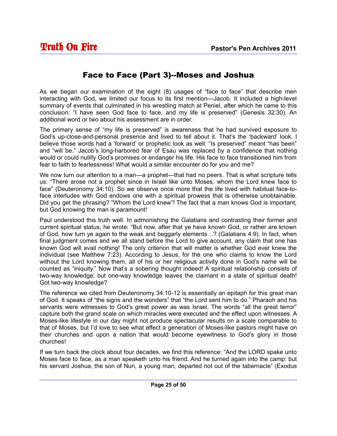#### Face to Face (Part 3)--Moses and Joshua

As we began our examination of the eight (8) usages of "face to face" that describe men interacting with God, we limited our focus to its first mention—Jacob. It included a high-level summary of events that culminated in his wrestling match at Peniel, after which he came to this conclusion: "I have seen God face to face, and my life is preserved" (Genesis 32:30). An additional word or two about his assessment are in order.

The primary sense of "my life is preserved" is awareness that he had survived exposure to God's up-close-and-personal presence and lived to tell about it. That's the 'backward' look. I believe those words had a 'forward' or prophetic look as well. "Is preserved" meant "has been" and "will be." Jacob's long-harbored fear of Esau was replaced by a confidence that nothing would or could nullify God's promises or endanger his life. His face to face transitioned him from fear to faith to fearlessness! What would a similar encounter do for you and me?

We now turn our attention to a man—a prophet—that had no peers. That is what scripture tells us: "There arose not a prophet since in Israel like unto Moses, whom the Lord knew face to face" (Deuteronomy 34:10). So we observe once more that the life lived with habitual face-toface interludes with God endows one with a spiritual prowess that is otherwise unobtainable. Did you get the phrasing? "Whom the Lord knew"! The fact that a man knows God is important; but God knowing the man is paramount!

Paul understood this truth well. In admonishing the Galatians and contrasting their former and current spiritual status, he wrote: "But now, after that ye have known God, or rather are known of God, how turn ye again to the weak and beggarly elements…? (Galatians 4:9). In fact, when final judgment comes and we all stand before the Lord to give account, any claim that one has known God will avail nothing! The only criterion that will matter is whether God ever knew the individual (see Matthew 7:23). According to Jesus, for the one who claims to know the Lord without the Lord knowing them, all of his or her religious activity done in God's name will be counted as "iniquity." Now that's a sobering thought indeed! A spiritual relationship consists of two-way knowledge; but one-way knowledge leaves the claimant in a state of spiritual death! Got two-way knowledge?

The reference we cited from Deuteronomy 34:10-12 is essentially an epitaph for this great man of God. It speaks of "the signs and the wonders" that "the Lord sent him to do." Pharaoh and his servants were witnesses to God's great power as was Israel. The words "all the great terror" capture both the grand scale on which miracles were executed and the effect upon witnesses. A Moses-like lifestyle in our day might not produce spectacular results on a scale comparable to that of Moses, but I'd love to see what effect a generation of Moses-like pastors might have on their churches and upon a nation that would become eyewitness to God's glory in those churches!

If we turn back the clock about four decades, we find this reference: "And the LORD spake unto Moses face to face, as a man speaketh unto his friend. And he turned again into the camp: but his servant Joshua, the son of Nun, a young man, departed not out of the tabernacle" (Exodus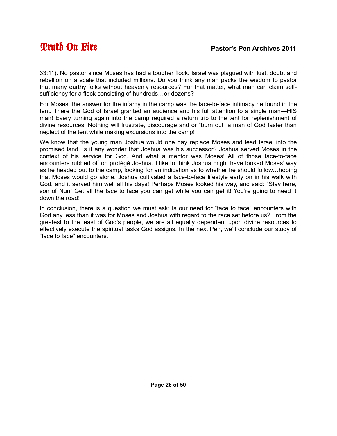33:11). No pastor since Moses has had a tougher flock. Israel was plagued with lust, doubt and rebellion on a scale that included millions. Do you think any man packs the wisdom to pastor that many earthy folks without heavenly resources? For that matter, what man can claim selfsufficiency for a flock consisting of hundreds…or dozens?

For Moses, the answer for the infamy in the camp was the face-to-face intimacy he found in the tent. There the God of Israel granted an audience and his full attention to a single man—HIS man! Every turning again into the camp required a return trip to the tent for replenishment of divine resources. Nothing will frustrate, discourage and or "burn out" a man of God faster than neglect of the tent while making excursions into the camp!

We know that the young man Joshua would one day replace Moses and lead Israel into the promised land. Is it any wonder that Joshua was his successor? Joshua served Moses in the context of his service for God. And what a mentor was Moses! All of those face-to-face encounters rubbed off on protégé Joshua. I like to think Joshua might have looked Moses' way as he headed out to the camp, looking for an indication as to whether he should follow…hoping that Moses would go alone. Joshua cultivated a face-to-face lifestyle early on in his walk with God, and it served him well all his days! Perhaps Moses looked his way, and said: "Stay here, son of Nun! Get all the face to face you can get while you can get it! You're going to need it down the road!"

In conclusion, there is a question we must ask: Is our need for "face to face" encounters with God any less than it was for Moses and Joshua with regard to the race set before us? From the greatest to the least of God's people, we are all equally dependent upon divine resources to effectively execute the spiritual tasks God assigns. In the next Pen, we'll conclude our study of "face to face" encounters.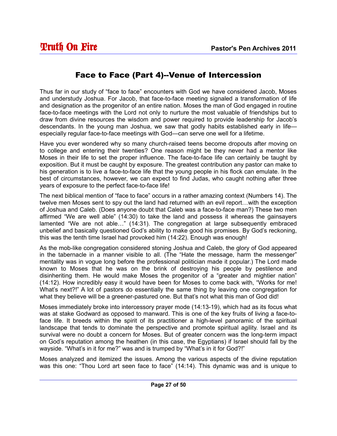#### Face to Face (Part 4)--Venue of Intercession

Thus far in our study of "face to face" encounters with God we have considered Jacob, Moses and understudy Joshua. For Jacob, that face-to-face meeting signaled a transformation of life and designation as the progenitor of an entire nation. Moses the man of God engaged in routine face-to-face meetings with the Lord not only to nurture the most valuable of friendships but to draw from divine resources the wisdom and power required to provide leadership for Jacob's descendants. In the young man Joshua, we saw that godly habits established early in life especially regular face-to-face meetings with God—can serve one well for a lifetime.

Have you ever wondered why so many church-raised teens become dropouts after moving on to college and entering their twenties? One reason might be they never had a mentor like Moses in their life to set the proper influence. The face-to-face life can certainly be taught by exposition. But it must be caught by exposure. The greatest contribution any pastor can make to his generation is to live a face-to-face life that the young people in his flock can emulate. In the best of circumstances, however, we can expect to find Judas, who caught nothing after three years of exposure to the perfect face-to-face life!

The next biblical mention of "face to face" occurs in a rather amazing context (Numbers 14). The twelve men Moses sent to spy out the land had returned with an evil report…with the exception of Joshua and Caleb. (Does anyone doubt that Caleb was a face-to-face man?) These two men affirmed "We are well able" (14:30) to take the land and possess it whereas the gainsayers lamented "We are not able…" (14:31). The congregation at large subsequently embraced unbelief and basically questioned God's ability to make good his promises. By God's reckoning, this was the tenth time Israel had provoked him (14:22). Enough was enough!

As the mob-like congregation considered stoning Joshua and Caleb, the glory of God appeared in the tabernacle in a manner visible to all. (The "Hate the message, harm the messenger" mentality was in vogue long before the professional politician made it popular.) The Lord made known to Moses that he was on the brink of destroying his people by pestilence and disinheriting them. He would make Moses the progenitor of a "greater and mightier nation" (14:12). How incredibly easy it would have been for Moses to come back with, "Works for me! What's next?!" A lot of pastors do essentially the same thing by leaving one congregation for what they believe will be a greener-pastured one. But that's not what this man of God did!

Moses immediately broke into intercessory prayer mode (14:13-19), which had as its focus what was at stake Godward as opposed to manward. This is one of the key fruits of living a face-toface life. It breeds within the spirit of its practitioner a high-level panoramic of the spiritual landscape that tends to dominate the perspective and promote spiritual agility. Israel and its survival were no doubt a concern for Moses. But of greater concern was the long-term impact on God's reputation among the heathen (in this case, the Egyptians) if Israel should fall by the wayside. "What's in it for me?" was and is trumped by "What's in it for God?!"

Moses analyzed and itemized the issues. Among the various aspects of the divine reputation was this one: "Thou Lord art seen face to face" (14:14). This dynamic was and is unique to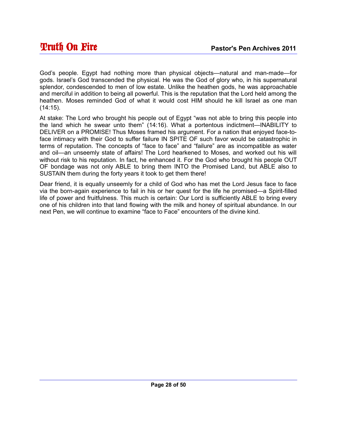God's people. Egypt had nothing more than physical objects—natural and man-made—for gods. Israel's God transcended the physical. He was the God of glory who, in his supernatural splendor, condescended to men of low estate. Unlike the heathen gods, he was approachable and merciful in addition to being all powerful. This is the reputation that the Lord held among the heathen. Moses reminded God of what it would cost HIM should he kill Israel as one man  $(14:15)$ .

At stake: The Lord who brought his people out of Egypt "was not able to bring this people into the land which he swear unto them" (14:16). What a portentous indictment—INABILITY to DELIVER on a PROMISE! Thus Moses framed his argument. For a nation that enjoyed face-toface intimacy with their God to suffer failure IN SPITE OF such favor would be catastrophic in terms of reputation. The concepts of "face to face" and "failure" are as incompatible as water and oil—an unseemly state of affairs! The Lord hearkened to Moses, and worked out his will without risk to his reputation. In fact, he enhanced it. For the God who brought his people OUT OF bondage was not only ABLE to bring them INTO the Promised Land, but ABLE also to SUSTAIN them during the forty years it took to get them there!

Dear friend, it is equally unseemly for a child of God who has met the Lord Jesus face to face via the born-again experience to fail in his or her quest for the life he promised—a Spirit-filled life of power and fruitfulness. This much is certain: Our Lord is sufficiently ABLE to bring every one of his children into that land flowing with the milk and honey of spiritual abundance. In our next Pen, we will continue to examine "face to Face" encounters of the divine kind.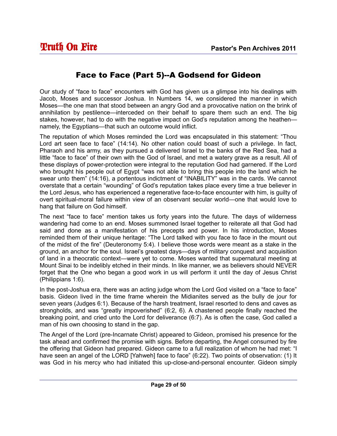#### Face to Face (Part 5)--A Godsend for Gideon

Our study of "face to face" encounters with God has given us a glimpse into his dealings with Jacob, Moses and successor Joshua. In Numbers 14, we considered the manner in which Moses—the one man that stood between an angry God and a provocative nation on the brink of annihilation by pestilence—interceded on their behalf to spare them such an end. The big stakes, however, had to do with the negative impact on God's reputation among the heathen namely, the Egyptians—that such an outcome would inflict.

The reputation of which Moses reminded the Lord was encapsulated in this statement: "Thou Lord art seen face to face" (14:14). No other nation could boast of such a privilege. In fact, Pharaoh and his army, as they pursued a delivered Israel to the banks of the Red Sea, had a little "face to face" of their own with the God of Israel, and met a watery grave as a result. All of these displays of power-protection were integral to the reputation God had garnered. If the Lord who brought his people out of Egypt "was not able to bring this people into the land which he swear unto them" (14:16), a portentous indictment of "INABILITY" was in the cards. We cannot overstate that a certain "wounding" of God's reputation takes place every time a true believer in the Lord Jesus, who has experienced a regenerative face-to-face encounter with him, is guilty of overt spiritual-moral failure within view of an observant secular world—one that would love to hang that failure on God himself.

The next "face to face" mention takes us forty years into the future. The days of wilderness wandering had come to an end. Moses summoned Israel together to reiterate all that God had said and done as a manifestation of his precepts and power. In his introduction, Moses reminded them of their unique heritage: "The Lord talked with you face to face in the mount out of the midst of the fire" (Deuteronomy 5:4). I believe those words were meant as a stake in the ground, an anchor for the soul. Israel's greatest days—days of military conquest and acquisition of land in a theocratic context—were yet to come. Moses wanted that supernatural meeting at Mount Sinai to be indelibly etched in their minds. In like manner, we as believers should NEVER forget that the One who began a good work in us will perform it until the day of Jesus Christ (Philippians 1:6).

In the post-Joshua era, there was an acting judge whom the Lord God visited on a "face to face" basis. Gideon lived in the time frame wherein the Midianites served as the bully de jour for seven years (Judges 6:1). Because of the harsh treatment, Israel resorted to dens and caves as strongholds, and was "greatly impoverished" (6:2, 6). A chastened people finally reached the breaking point, and cried unto the Lord for deliverance (6:7). As is often the case, God called a man of his own choosing to stand in the gap.

The Angel of the Lord (pre-Incarnate Christ) appeared to Gideon, promised his presence for the task ahead and confirmed the promise with signs. Before departing, the Angel consumed by fire the offering that Gideon had prepared. Gideon came to a full realization of whom he had met: "I have seen an angel of the LORD [Yahweh] face to face" (6:22). Two points of observation: (1) It was God in his mercy who had initiated this up-close-and-personal encounter. Gideon simply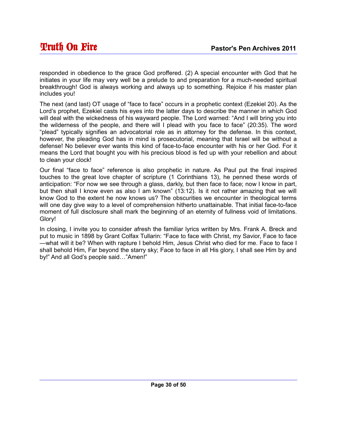responded in obedience to the grace God proffered. (2) A special encounter with God that he initiates in your life may very well be a prelude to and preparation for a much-needed spiritual breakthrough! God is always working and always up to something. Rejoice if his master plan includes you!

The next (and last) OT usage of "face to face" occurs in a prophetic context (Ezekiel 20). As the Lord's prophet, Ezekiel casts his eyes into the latter days to describe the manner in which God will deal with the wickedness of his wayward people. The Lord warned: "And I will bring you into the wilderness of the people, and there will I plead with you face to face" (20:35). The word "plead" typically signifies an advocatorial role as in attorney for the defense. In this context, however, the pleading God has in mind is prosecutorial, meaning that Israel will be without a defense! No believer ever wants this kind of face-to-face encounter with his or her God. For it means the Lord that bought you with his precious blood is fed up with your rebellion and about to clean your clock!

Our final "face to face" reference is also prophetic in nature. As Paul put the final inspired touches to the great love chapter of scripture (1 Corinthians 13), he penned these words of anticipation: "For now we see through a glass, darkly, but then face to face; now I know in part, but then shall I know even as also I am known" (13:12). Is it not rather amazing that we will know God to the extent he now knows us? The obscurities we encounter in theological terms will one day give way to a level of comprehension hitherto unattainable. That initial face-to-face moment of full disclosure shall mark the beginning of an eternity of fullness void of limitations. Glory!

In closing, I invite you to consider afresh the familiar lyrics written by Mrs. Frank A. Breck and put to music in 1898 by Grant Colfax Tullarin: "Face to face with Christ, my Savior, Face to face —what will it be? When with rapture I behold Him, Jesus Christ who died for me. Face to face I shall behold Him, Far beyond the starry sky; Face to face in all His glory, I shall see Him by and by!" And all God's people said…"Amen!"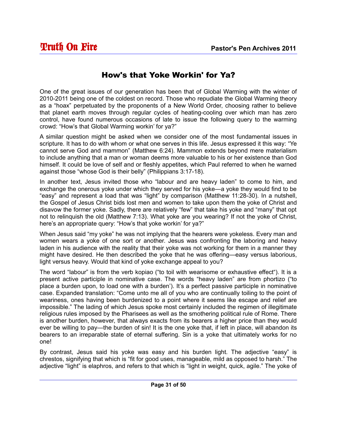#### How's that Yoke Workin' for Ya?

One of the great issues of our generation has been that of Global Warming with the winter of 2010-2011 being one of the coldest on record. Those who repudiate the Global Warming theory as a "hoax" perpetuated by the proponents of a New World Order, choosing rather to believe that planet earth moves through regular cycles of heating-cooling over which man has zero control, have found numerous occasions of late to issue the following query to the warming crowd: "How's that Global Warming workin' for ya?"

A similar question might be asked when we consider one of the most fundamental issues in scripture. It has to do with whom or what one serves in this life. Jesus expressed it this way: "Ye cannot serve God and mammon" (Matthew 6:24). Mammon extends beyond mere materialism to include anything that a man or woman deems more valuable to his or her existence than God himself. It could be love of self and or fleshly appetites, which Paul referred to when he warned against those "whose God is their belly" (Philippians 3:17-18).

In another text, Jesus invited those who "labour and are heavy laden" to come to him, and exchange the onerous yoke under which they served for his yoke—a yoke they would find to be "easy" and represent a load that was "light" by comparison (Matthew 11:28-30). In a nutshell, the Gospel of Jesus Christ bids lost men and women to take upon them the yoke of Christ and disavow the former yoke. Sadly, there are relatively "few" that take his yoke and "many" that opt not to relinquish the old (Matthew 7:13). What yoke are you wearing? If not the yoke of Christ, here's an appropriate query: "How's that yoke workin' for ya?"

When Jesus said "my yoke" he was not implying that the hearers were yokeless. Every man and women wears a yoke of one sort or another. Jesus was confronting the laboring and heavy laden in his audience with the reality that their yoke was not working for them in a manner they might have desired. He then described the yoke that he was offering—easy versus laborious, light versus heavy. Would that kind of yoke exchange appeal to you?

The word "labour" is from the verb kopiao ("to toil with wearisome or exhaustive effect"). It is a present active participle in nominative case. The words "heavy laden" are from phortizo ("to place a burden upon, to load one with a burden'). It's a perfect passive participle in nominative case. Expanded translation: "Come unto me all of you who are continually toiling to the point of weariness, ones having been burdenized to a point where it seems like escape and relief are impossible." The lading of which Jesus spoke most certainly included the regimen of illegitimate religious rules imposed by the Pharisees as well as the smothering political rule of Rome. There is another burden, however, that always exacts from its bearers a higher price than they would ever be willing to pay—the burden of sin! It is the one yoke that, if left in place, will abandon its bearers to an irreparable state of eternal suffering. Sin is a yoke that ultimately works for no one!

By contrast, Jesus said his yoke was easy and his burden light. The adjective "easy" is chrestos, signifying that which is "fit for good uses, manageable, mild as opposed to harsh." The adjective "light" is elaphros, and refers to that which is "light in weight, quick, agile." The yoke of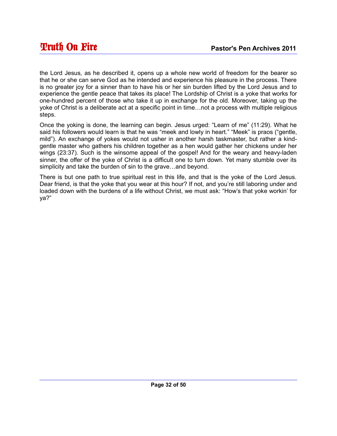the Lord Jesus, as he described it, opens up a whole new world of freedom for the bearer so that he or she can serve God as he intended and experience his pleasure in the process. There is no greater joy for a sinner than to have his or her sin burden lifted by the Lord Jesus and to experience the gentle peace that takes its place! The Lordship of Christ is a yoke that works for one-hundred percent of those who take it up in exchange for the old. Moreover, taking up the yoke of Christ is a deliberate act at a specific point in time…not a process with multiple religious steps.

Once the yoking is done, the learning can begin. Jesus urged: "Learn of me" (11:29). What he said his followers would learn is that he was "meek and lowly in heart." "Meek" is praos ("gentle, mild"). An exchange of yokes would not usher in another harsh taskmaster, but rather a kindgentle master who gathers his children together as a hen would gather her chickens under her wings (23:37). Such is the winsome appeal of the gospel! And for the weary and heavy-laden sinner, the offer of the yoke of Christ is a difficult one to turn down. Yet many stumble over its simplicity and take the burden of sin to the grave…and beyond.

There is but one path to true spiritual rest in this life, and that is the yoke of the Lord Jesus. Dear friend, is that the yoke that you wear at this hour? If not, and you're still laboring under and loaded down with the burdens of a life without Christ, we must ask: "How's that yoke workin' for ya?"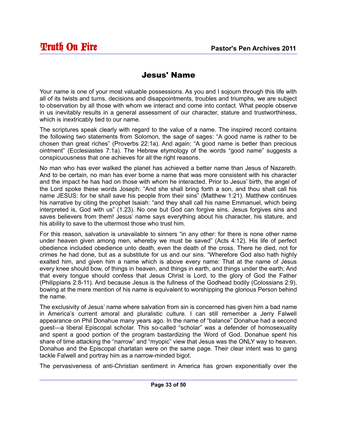#### Jesus' Name

Your name is one of your most valuable possessions. As you and I sojourn through this life with all of its twists and turns, decisions and disappointments, troubles and triumphs, we are subject to observation by all those with whom we interact and come into contact. What people observe in us inevitably results in a general assessment of our character, stature and trustworthiness, which is inextricably tied to our name.

The scriptures speak clearly with regard to the value of a name. The inspired record contains the following two statements from Solomon, the sage of sages: "A good name is rather to be chosen than great riches" (Proverbs 22:1a). And again: "A good name is better than precious ointment" (Ecclesiastes 7:1a). The Hebrew etymology of the words "good name" suggests a conspicuousness that one achieves for all the right reasons.

No man who has ever walked the planet has achieved a better name than Jesus of Nazareth. And to be certain, no man has ever borne a name that was more consistent with his character and the impact he has had on those with whom he interacted. Prior to Jesus' birth, the angel of the Lord spoke these words Joseph: "And she shall bring forth a son, and thou shalt call his name JESUS: for he shall save his people from their sins" (Matthew 1:21). Matthew continues his narrative by citing the prophet Isaiah: "and they shall call his name Emmanuel, which being interpreted is, God with us" (1.23). No one but God can forgive sins. Jesus forgives sins and saves believers from them! Jesus' name says everything about his character, his stature, and his ability to save to the uttermost those who trust him.

For this reason, salvation is unavailable to sinners "in any other: for there is none other name under heaven given among men, whereby we must be saved" (Acts 4:12). His life of perfect obedience included obedience unto death, even the death of the cross. There he died, not for crimes he had done, but as a substitute for us and our sins. "Wherefore God also hath highly exalted him, and given him a name which is above every name: That at the name of Jesus every knee should bow, of things in heaven, and things in earth, and things under the earth; And that every tongue should confess that Jesus Christ is Lord, to the glory of God the Father (Philippians 2:8-11). And because Jesus is the fullness of the Godhead bodily (Colossians 2:9), bowing at the mere mention of his name is equivalent to worshipping the glorious Person behind the name.

The exclusivity of Jesus' name where salvation from sin is concerned has given him a bad name in America's current amoral and pluralistic culture. I can still remember a Jerry Falwell appearance on Phil Donahue many years ago. In the name of "balance" Donahue had a second guest—a liberal Episcopal scholar. This so-called "scholar" was a defender of homosexuality and spent a good portion of the program bastardizing the Word of God. Donahue spent his share of time attacking the "narrow" and "myopic" view that Jesus was the ONLY way to heaven. Donahue and the Episcopal charlatan were on the same page. Their clear intent was to gang tackle Falwell and portray him as a narrow-minded bigot.

The pervasiveness of anti-Christian sentiment in America has grown exponentially over the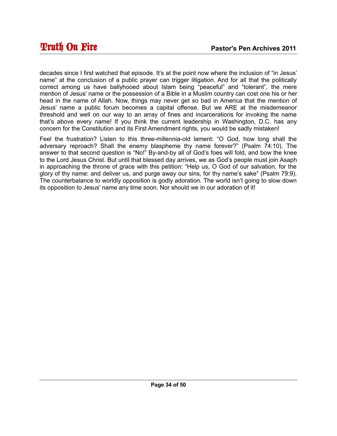decades since I first watched that episode. It's at the point now where the inclusion of "in Jesus' name" at the conclusion of a public prayer can trigger litigation. And for all that the politically correct among us have ballyhooed about Islam being "peaceful" and "tolerant", the mere mention of Jesus' name or the possession of a Bible in a Muslim country can cost one his or her head in the name of Allah. Now, things may never get so bad in America that the mention of Jesus' name a public forum becomes a capital offense. But we ARE at the misdemeanor threshold and well on our way to an array of fines and incarcerations for invoking the name that's above every name! If you think the current leadership in Washington, D.C. has any concern for the Constitution and its First Amendment rights, you would be sadly mistaken!

Feel the frustration? Listen to this three-millennia-old lament: "O God, how long shall the adversary reproach? Shall the enemy blaspheme thy name forever?" (Psalm 74:10). The answer to that second question is "No!" By-and-by all of God's foes will fold, and bow the knee to the Lord Jesus Christ. But until that blessed day arrives, we as God's people must join Asaph in approaching the throne of grace with this petition: "Help us, O God of our salvation, for the glory of thy name: and deliver us, and purge away our sins, for thy name's sake" (Psalm 79:9). The counterbalance to worldly opposition is godly adoration. The world isn't going to slow down its opposition to Jesus' name any time soon. Nor should we in our adoration of it!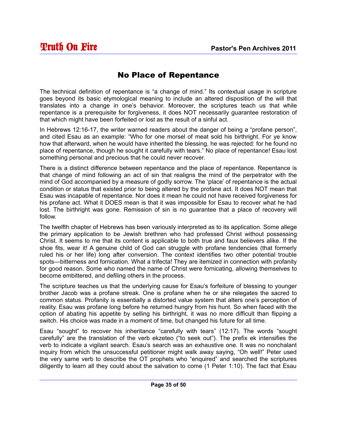#### No Place of Repentance

The technical definition of repentance is "a change of mind." Its contextual usage in scripture goes beyond its basic etymological meaning to include an altered disposition of the will that translates into a change in one's behavior. Moreover, the scriptures teach us that while repentance is a prerequisite for forgiveness, it does NOT necessarily guarantee restoration of that which might have been forfeited or lost as the result of a sinful act.

In Hebrews 12:16-17, the writer warned readers about the danger of being a "profane person", and cited Esau as an example: "Who for one morsel of meat sold his birthright. For ye know how that afterward, when he would have inherited the blessing, he was rejected: for he found no place of repentance, though he sought it carefully with tears." No place of repentance! Esau lost something personal and precious that he could never recover.

There is a distinct difference between repentance and the place of repentance. Repentance is that change of mind following an act of sin that realigns the mind of the perpetrator with the mind of God accompanied by a measure of godly sorrow. The 'place' of repentance is the actual condition or status that existed prior to being altered by the profane act. It does NOT mean that Esau was incapable of repentance. Nor does it mean he could not have received forgiveness for his profane act. What it DOES mean is that it was impossible for Esau to recover what he had lost. The birthright was gone. Remission of sin is no guarantee that a place of recovery will follow.

The twelfth chapter of Hebrews has been variously interpreted as to its application. Some allege the primary application to be Jewish brethren who had professed Christ without possessing Christ. It seems to me that its content is applicable to both true and faux believers alike. If the shoe fits, wear it! A genuine child of God can struggle with profane tendencies (that formerly ruled his or her life) long after conversion. The context identifies two other potential trouble spots—bitterness and fornication. What a trifecta! They are itemized in connection with profanity for good reason. Some who named the name of Christ were fornicating, allowing themselves to become embittered, and defiling others in the process.

The scripture teaches us that the underlying cause for Esau's forfeiture of blessing to younger brother Jacob was a profane streak. One is profane when he or she relegates the sacred to common status. Profanity is essentially a distorted value system that alters one's perception of reality. Esau was profane long before he returned hungry from his hunt. So when faced with the option of abating his appetite by selling his birthright, it was no more difficult than flipping a switch. His choice was made in a moment of time, but changed his future for all time.

Esau "sought" to recover his inheritance "carefully with tears" (12:17). The words "sought carefully" are the translation of the verb ekzeteo ("to seek out"). The prefix ek intensifies the verb to indicate a vigilant search. Esau's search was an exhaustive one. It was no nonchalant inquiry from which the unsuccessful petitioner might walk away saying, "Oh well!" Peter used the very same verb to describe the OT prophets who "enquired" and searched the scriptures diligently to learn all they could about the salvation to come (1 Peter 1:10). The fact that Esau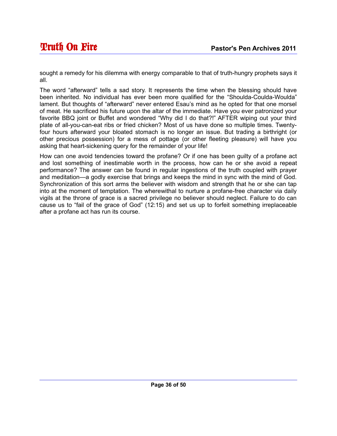sought a remedy for his dilemma with energy comparable to that of truth-hungry prophets says it all.

The word "afterward" tells a sad story. It represents the time when the blessing should have been inherited. No individual has ever been more qualified for the "Shoulda-Coulda-Woulda" lament. But thoughts of "afterward" never entered Esau's mind as he opted for that one morsel of meat. He sacrificed his future upon the altar of the immediate. Have you ever patronized your favorite BBQ joint or Buffet and wondered "Why did I do that?!" AFTER wiping out your third plate of all-you-can-eat ribs or fried chicken? Most of us have done so multiple times. Twentyfour hours afterward your bloated stomach is no longer an issue. But trading a birthright (or other precious possession) for a mess of pottage (or other fleeting pleasure) will have you asking that heart-sickening query for the remainder of your life!

How can one avoid tendencies toward the profane? Or if one has been guilty of a profane act and lost something of inestimable worth in the process, how can he or she avoid a repeat performance? The answer can be found in regular ingestions of the truth coupled with prayer and meditation—a godly exercise that brings and keeps the mind in sync with the mind of God. Synchronization of this sort arms the believer with wisdom and strength that he or she can tap into at the moment of temptation. The wherewithal to nurture a profane-free character via daily vigils at the throne of grace is a sacred privilege no believer should neglect. Failure to do can cause us to "fail of the grace of God" (12:15) and set us up to forfeit something irreplaceable after a profane act has run its course.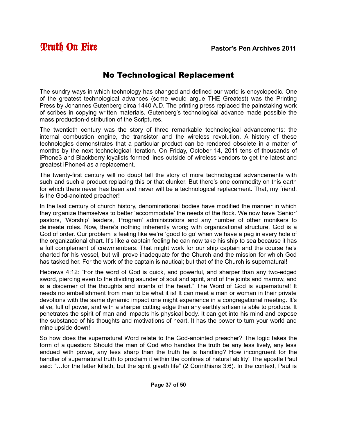#### No Technological Replacement

The sundry ways in which technology has changed and defined our world is encyclopedic. One of the greatest technological advances (some would argue THE Greatest) was the Printing Press by Johannes Gutenberg circa 1440 A.D. The printing press replaced the painstaking work of scribes in copying written materials. Gutenberg's technological advance made possible the mass production-distribution of the Scriptures.

The twentieth century was the story of three remarkable technological advancements: the internal combustion engine, the transistor and the wireless revolution. A history of these technologies demonstrates that a particular product can be rendered obsolete in a matter of months by the next technological iteration. On Friday, October 14, 2011 tens of thousands of iPhone3 and Blackberry loyalists formed lines outside of wireless vendors to get the latest and greatest iPhone4 as a replacement.

The twenty-first century will no doubt tell the story of more technological advancements with such and such a product replacing this or that clunker. But there's one commodity on this earth for which there never has been and never will be a technological replacement. That, my friend, is the God-anointed preacher!

In the last century of church history, denominational bodies have modified the manner in which they organize themselves to better 'accommodate' the needs of the flock. We now have 'Senior' pastors, 'Worship' leaders, 'Program' administrators and any number of other monikers to delineate roles. Now, there's nothing inherently wrong with organizational structure. God is a God of order. Our problem is feeling like we're 'good to go' when we have a peg in every hole of the organizational chart. It's like a captain feeling he can now take his ship to sea because it has a full complement of crewmembers. That might work for our ship captain and the course he's charted for his vessel, but will prove inadequate for the Church and the mission for which God has tasked her. For the work of the captain is nautical; but that of the Church is supernatural!

Hebrews 4:12: "For the word of God is quick, and powerful, and sharper than any two-edged sword, piercing even to the dividing asunder of soul and spirit, and of the joints and marrow, and is a discerner of the thoughts and intents of the heart." The Word of God is supernatural! It needs no embellishment from man to be what it is! It can meet a man or woman in their private devotions with the same dynamic impact one might experience in a congregational meeting. It's alive, full of power, and with a sharper cutting edge than any earthly artisan is able to produce. It penetrates the spirit of man and impacts his physical body. It can get into his mind and expose the substance of his thoughts and motivations of heart. It has the power to turn your world and mine upside down!

So how does the supernatural Word relate to the God-anointed preacher? The logic takes the form of a question: Should the man of God who handles the truth be any less lively, any less endued with power, any less sharp than the truth he is handling? How incongruent for the handler of supernatural truth to proclaim it within the confines of natural ability! The apostle Paul said: "…for the letter killeth, but the spirit giveth life" (2 Corinthians 3:6). In the context, Paul is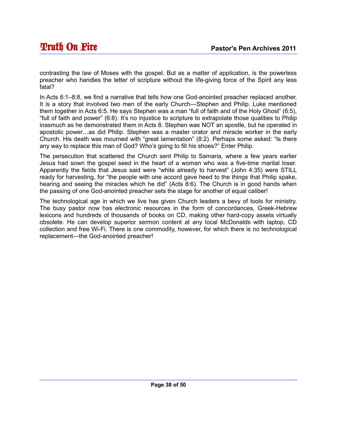contrasting the law of Moses with the gospel. But as a matter of application, is the powerless preacher who handles the letter of scripture without the life-giving force of the Spirit any less fatal?

In Acts 6:1–8:8, we find a narrative that tells how one God-anointed preacher replaced another. It is a story that involved two men of the early Church—Stephen and Philip. Luke mentioned them together in Acts 6:5. He says Stephen was a man "full of faith and of the Holy Ghost" (6:5), "full of faith and power" (6:8). It's no injustice to scripture to extrapolate those qualities to Philip inasmuch as he demonstrated them in Acts 8. Stephen was NOT an apostle, but he operated in apostolic power…as did Philip. Stephen was a master orator and miracle worker in the early Church. His death was mourned with "great lamentation" (8:2). Perhaps some asked: "Is there any way to replace this man of God? Who's going to fill his shoes?" Enter Philip.

The persecution that scattered the Church sent Philip to Samaria, where a few years earlier Jesus had sown the gospel seed in the heart of a woman who was a five-time marital loser. Apparently the fields that Jesus said were "white already to harvest" (John 4:35) were STILL ready for harvesting, for "the people with one accord gave heed to the things that Philip spake, hearing and seeing the miracles which he did" (Acts 8:6). The Church is in good hands when the passing of one God-anointed preacher sets the stage for another of equal caliber!

The technological age in which we live has given Church leaders a bevy of tools for ministry. The busy pastor now has electronic resources in the form of concordances, Greek-Hebrew lexicons and hundreds of thousands of books on CD, making other hard-copy assets virtually obsolete. He can develop superior sermon content at any local McDonalds with laptop, CD collection and free Wi-Fi. There is one commodity, however, for which there is no technological replacement—the God-anointed preacher!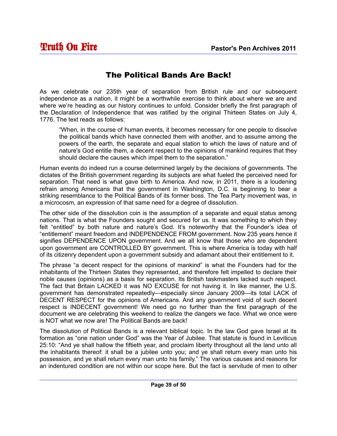#### The Political Bands Are Back!

As we celebrate our 235th year of separation from British rule and our subsequent independence as a nation, it might be a worthwhile exercise to think about where we are and where we're heading as our history continues to unfold. Consider briefly the first paragraph of the Declaration of Independence that was ratified by the original Thirteen States on July 4, 1776. The text reads as follows:

"When, in the course of human events, it becomes necessary for one people to dissolve the political bands which have connected them with another, and to assume among the powers of the earth, the separate and equal station to which the laws of nature and of nature's God entitle them, a decent respect to the opinions of mankind requires that they should declare the causes which impel them to the separation."

Human events do indeed run a course determined largely by the decisions of governments. The dictates of the British government regarding its subjects are what fueled the perceived need for separation. That need is what gave birth to America. And now, in 2011, there is a loudening refrain among Americans that the government in Washington, D.C. is beginning to bear a striking resemblance to the Political Bands of its former boss. The Tea Party movement was, in a microcosm, an expression of that same need for a degree of dissolution.

The other side of the dissolution coin is the assumption of a separate and equal status among nations. That is what the Founders sought and secured for us. It was something to which they felt "entitled" by both nature and nature's God. It's noteworthy that the Founder's idea of "entitlement" meant freedom and INDEPENDENCE FROM government. Now 235 years hence it signifies DEPENDENCE UPON government. And we all know that those who are dependent upon government are CONTROLLED BY government. This is where America is today with half of its citizenry dependent upon a government subsidy and adamant about their entitlement to it.

The phrase "a decent respect for the opinions of mankind" is what the Founders had for the inhabitants of the Thirteen States they represented, and therefore felt impelled to declare their noble causes (opinions) as a basis for separation. Its British taskmasters lacked such respect. The fact that Britain LACKED it was NO EXCUSE for not having it. In like manner, the U.S. government has demonstrated repeatedly—especially since January 2009—its total LACK of DECENT RESPECT for the opinions of Americans. And any government void of such decent respect is INDECENT government! We need go no further than the first paragraph of the document we are celebrating this weekend to realize the dangers we face. What we once were is NOT what we now are! The Political Bands are back!

The dissolution of Political Bands is a relevant biblical topic. In the law God gave Israel at its formation as "one nation under God" was the Year of Jubilee. That statute is found in Leviticus 25:10: "And ye shall hallow the fiftieth year, and proclaim liberty throughout all the land unto all the inhabitants thereof: it shall be a jubilee unto you; and ye shall return every man unto his possession, and ye shall return every man unto his family." The various causes and reasons for an indentured condition are not within our scope here. But the fact is servitude of men to other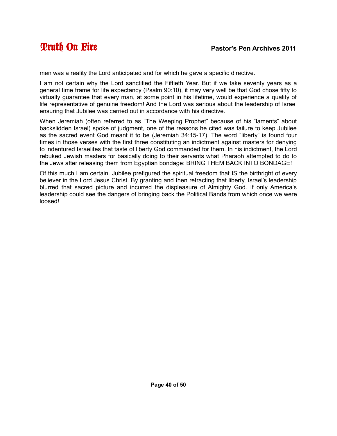men was a reality the Lord anticipated and for which he gave a specific directive.

I am not certain why the Lord sanctified the Fiftieth Year. But if we take seventy years as a general time frame for life expectancy (Psalm 90:10), it may very well be that God chose fifty to virtually guarantee that every man, at some point in his lifetime, would experience a quality of life representative of genuine freedom! And the Lord was serious about the leadership of Israel ensuring that Jubilee was carried out in accordance with his directive.

When Jeremiah (often referred to as "The Weeping Prophet" because of his "laments" about backslidden Israel) spoke of judgment, one of the reasons he cited was failure to keep Jubilee as the sacred event God meant it to be (Jeremiah 34:15-17). The word "liberty" is found four times in those verses with the first three constituting an indictment against masters for denying to indentured Israelites that taste of liberty God commanded for them. In his indictment, the Lord rebuked Jewish masters for basically doing to their servants what Pharaoh attempted to do to the Jews after releasing them from Egyptian bondage: BRING THEM BACK INTO BONDAGE!

Of this much I am certain. Jubilee prefigured the spiritual freedom that IS the birthright of every believer in the Lord Jesus Christ. By granting and then retracting that liberty, Israel's leadership blurred that sacred picture and incurred the displeasure of Almighty God. If only America's leadership could see the dangers of bringing back the Political Bands from which once we were loosed!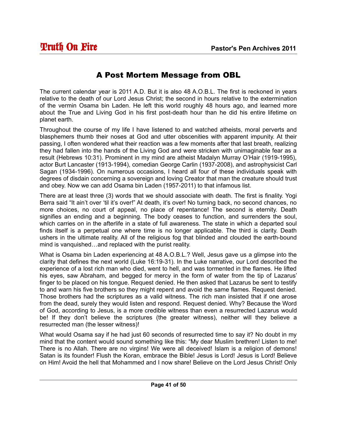#### A Post Mortem Message from OBL

The current calendar year is 2011 A.D. But it is also 48 A.O.B.L. The first is reckoned in years relative to the death of our Lord Jesus Christ; the second in hours relative to the extermination of the vermin Osama bin Laden. He left this world roughly 48 hours ago, and learned more about the True and Living God in his first post-death hour than he did his entire lifetime on planet earth.

Throughout the course of my life I have listened to and watched atheists, moral perverts and blasphemers thumb their noses at God and utter obscenities with apparent impunity. At their passing, I often wondered what their reaction was a few moments after that last breath, realizing they had fallen into the hands of the Living God and were stricken with unimaginable fear as a result (Hebrews 10:31). Prominent in my mind are atheist Madalyn Murray O'Hair (1919-1995), actor Burt Lancaster (1913-1994), comedian George Carlin (1937-2008), and astrophysicist Carl Sagan (1934-1996). On numerous occasions, I heard all four of these individuals speak with degrees of disdain concerning a sovereign and loving Creator that man the creature should trust and obey. Now we can add Osama bin Laden (1957-2011) to that infamous list.

There are at least three (3) words that we should associate with death. The first is finality. Yogi Berra said "It ain't over 'til it's over!" At death, it's over! No turning back, no second chances, no more choices, no court of appeal, no place of repentance! The second is eternity. Death signifies an ending and a beginning. The body ceases to function, and surrenders the soul, which carries on in the afterlife in a state of full awareness. The state in which a departed soul finds itself is a perpetual one where time is no longer applicable. The third is clarity. Death ushers in the ultimate reality. All of the religious fog that blinded and clouded the earth-bound mind is vanquished…and replaced with the purist reality.

What is Osama bin Laden experiencing at 48 A.O.B.L.? Well, Jesus gave us a glimpse into the clarity that defines the next world (Luke 16:19-31). In the Luke narrative, our Lord described the experience of a lost rich man who died, went to hell, and was tormented in the flames. He lifted his eyes, saw Abraham, and begged for mercy in the form of water from the tip of Lazarus' finger to be placed on his tongue. Request denied. He then asked that Lazarus be sent to testify to and warn his five brothers so they might repent and avoid the same flames. Request denied. Those brothers had the scriptures as a valid witness. The rich man insisted that if one arose from the dead, surely they would listen and respond. Request denied. Why? Because the Word of God, according to Jesus, is a more credible witness than even a resurrected Lazarus would be! If they don't believe the scriptures (the greater witness), neither will they believe a resurrected man (the lesser witness)!

What would Osama say if he had just 60 seconds of resurrected time to say it? No doubt in my mind that the content would sound something like this: "My dear Muslim brethren! Listen to me! There is no Allah. There are no virgins! We were all deceived! Islam is a religion of demons! Satan is its founder! Flush the Koran, embrace the Bible! Jesus is Lord! Jesus is Lord! Believe on Him! Avoid the hell that Mohammed and I now share! Believe on the Lord Jesus Christ! Only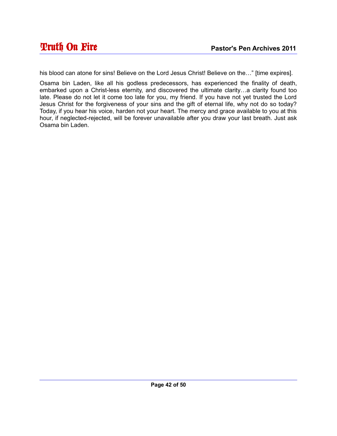his blood can atone for sins! Believe on the Lord Jesus Christ! Believe on the…" [time expires].

Osama bin Laden, like all his godless predecessors, has experienced the finality of death, embarked upon a Christ-less eternity, and discovered the ultimate clarity…a clarity found too late. Please do not let it come too late for you, my friend. If you have not yet trusted the Lord Jesus Christ for the forgiveness of your sins and the gift of eternal life, why not do so today? Today, if you hear his voice, harden not your heart. The mercy and grace available to you at this hour, if neglected-rejected, will be forever unavailable after you draw your last breath. Just ask Osama bin Laden.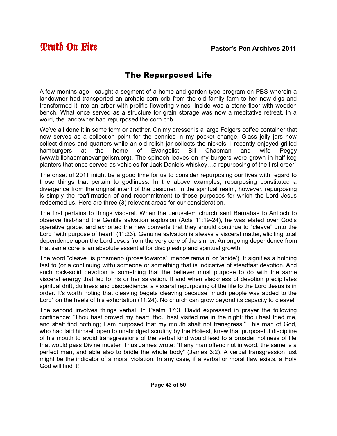#### The Repurposed Life

A few months ago I caught a segment of a home-and-garden type program on PBS wherein a landowner had transported an archaic corn crib from the old family farm to her new digs and transformed it into an arbor with prolific flowering vines. Inside was a stone floor with wooden bench. What once served as a structure for grain storage was now a meditative retreat. In a word, the landowner had repurposed the corn crib.

We've all done it in some form or another. On my dresser is a large Folgers coffee container that now serves as a collection point for the pennies in my pocket change. Glass jelly jars now collect dimes and quarters while an old relish jar collects the nickels. I recently enjoyed grilled hamburgers at the home of Evangelist Bill Chapman and wife Peggy (www.billchapmanevangelism.org). The spinach leaves on my burgers were grown in half-keg planters that once served as vehicles for Jack Daniels whiskey…a repurposing of the first order!

The onset of 2011 might be a good time for us to consider repurposing our lives with regard to those things that pertain to godliness. In the above examples, repurposing constituted a divergence from the original intent of the designer. In the spiritual realm, however, repurposing is simply the reaffirmation of and recommitment to those purposes for which the Lord Jesus redeemed us. Here are three (3) relevant areas for our consideration.

The first pertains to things visceral. When the Jerusalem church sent Barnabas to Antioch to observe first-hand the Gentile salvation explosion (Acts 11:19-24), he was elated over God's operative grace, and exhorted the new converts that they should continue to "cleave" unto the Lord "with purpose of heart" (11:23). Genuine salvation is always a visceral matter, eliciting total dependence upon the Lord Jesus from the very core of the sinner. An ongoing dependence from that same core is an absolute essential for discipleship and spiritual growth.

The word "cleave" is prosmeno (pros='towards', meno='remain' or 'abide'). It signifies a holding fast to (or a continuing with) someone or something that is indicative of steadfast devotion. And such rock-solid devotion is something that the believer must purpose to do with the same visceral energy that led to his or her salvation. If and when slackness of devotion precipitates spiritual drift, dullness and disobedience, a visceral repurposing of the life to the Lord Jesus is in order. It's worth noting that cleaving begets cleaving because "much people was added to the Lord" on the heels of his exhortation (11:24). No church can grow beyond its capacity to cleave!

The second involves things verbal. In Psalm 17:3, David expressed in prayer the following confidence: "Thou hast proved my heart; thou hast visited me in the night; thou hast tried me, and shalt find nothing; I am purposed that my mouth shalt not transgress." This man of God, who had laid himself open to unabridged scrutiny by the Holiest, knew that purposeful discipline of his mouth to avoid transgressions of the verbal kind would lead to a broader holiness of life that would pass Divine muster. Thus James wrote: "If any man offend not in word, the same is a perfect man, and able also to bridle the whole body" (James 3:2). A verbal transgression just might be the indicator of a moral violation. In any case, if a verbal or moral flaw exists, a Holy God will find it!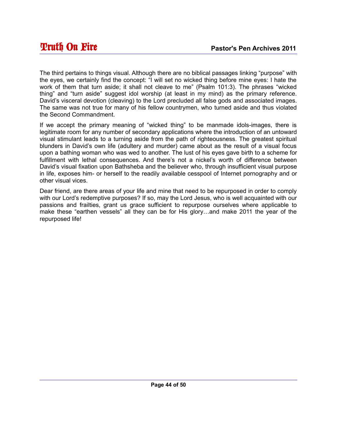The third pertains to things visual. Although there are no biblical passages linking "purpose" with the eyes, we certainly find the concept: "I will set no wicked thing before mine eyes: I hate the work of them that turn aside; it shall not cleave to me" (Psalm 101:3). The phrases "wicked thing" and "turn aside" suggest idol worship (at least in my mind) as the primary reference. David's visceral devotion (cleaving) to the Lord precluded all false gods and associated images. The same was not true for many of his fellow countrymen, who turned aside and thus violated the Second Commandment.

If we accept the primary meaning of "wicked thing" to be manmade idols-images, there is legitimate room for any number of secondary applications where the introduction of an untoward visual stimulant leads to a turning aside from the path of righteousness. The greatest spiritual blunders in David's own life (adultery and murder) came about as the result of a visual focus upon a bathing woman who was wed to another. The lust of his eyes gave birth to a scheme for fulfillment with lethal consequences. And there's not a nickel's worth of difference between David's visual fixation upon Bathsheba and the believer who, through insufficient visual purpose in life, exposes him- or herself to the readily available cesspool of Internet pornography and or other visual vices.

Dear friend, are there areas of your life and mine that need to be repurposed in order to comply with our Lord's redemptive purposes? If so, may the Lord Jesus, who is well acquainted with our passions and frailties, grant us grace sufficient to repurpose ourselves where applicable to make these "earthen vessels" all they can be for His glory…and make 2011 the year of the repurposed life!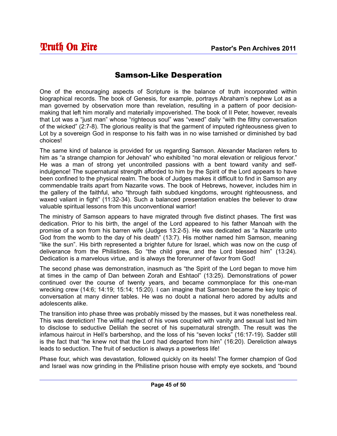#### Samson-Like Desperation

One of the encouraging aspects of Scripture is the balance of truth incorporated within biographical records. The book of Genesis, for example, portrays Abraham's nephew Lot as a man governed by observation more than revelation, resulting in a pattern of poor decisionmaking that left him morally and materially impoverished. The book of II Peter, however, reveals that Lot was a "just man" whose "righteous soul" was "vexed" daily "with the filthy conversation of the wicked" (2:7-8). The glorious reality is that the garment of imputed righteousness given to Lot by a sovereign God in response to his faith was in no wise tarnished or diminished by bad choices!

The same kind of balance is provided for us regarding Samson. Alexander Maclaren refers to him as "a strange champion for Jehovah" who exhibited "no moral elevation or religious fervor." He was a man of strong yet uncontrolled passions with a bent toward vanity and selfindulgence! The supernatural strength afforded to him by the Spirit of the Lord appears to have been confined to the physical realm. The book of Judges makes it difficult to find in Samson any commendable traits apart from Nazarite vows. The book of Hebrews, however, includes him in the gallery of the faithful, who "through faith subdued kingdoms, wrought righteousness, and waxed valiant in fight" (11:32-34). Such a balanced presentation enables the believer to draw valuable spiritual lessons from this unconventional warrior!

The ministry of Samson appears to have migrated through five distinct phases. The first was dedication. Prior to his birth, the angel of the Lord appeared to his father Manoah with the promise of a son from his barren wife (Judges 13:2-5). He was dedicated as "a Nazarite unto God from the womb to the day of his death" (13:7). His mother named him Samson, meaning "like the sun". His birth represented a brighter future for Israel, which was now on the cusp of deliverance from the Philistines. So "the child grew, and the Lord blessed him" (13:24). Dedication is a marvelous virtue, and is always the forerunner of favor from God!

The second phase was demonstration, inasmuch as "the Spirit of the Lord began to move him at times in the camp of Dan between Zorah and Eshtaol" (13:25). Demonstrations of power continued over the course of twenty years, and became commonplace for this one-man wrecking crew (14:6; 14:19; 15:14; 15:20). I can imagine that Samson became the key topic of conversation at many dinner tables. He was no doubt a national hero adored by adults and adolescents alike.

The transition into phase three was probably missed by the masses, but it was nonetheless real. This was dereliction! The willful neglect of his vows coupled with vanity and sexual lust led him to disclose to seductive Delilah the secret of his supernatural strength. The result was the infamous haircut in Hell's barbershop, and the loss of his "seven locks" (16:17-19). Sadder still is the fact that "he knew not that the Lord had departed from him" (16:20). Dereliction always leads to seduction. The fruit of seduction is always a powerless life!

Phase four, which was devastation, followed quickly on its heels! The former champion of God and Israel was now grinding in the Philistine prison house with empty eye sockets, and "bound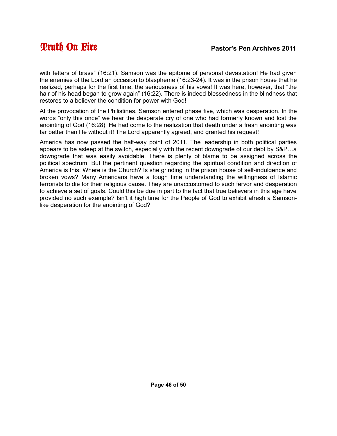with fetters of brass" (16:21). Samson was the epitome of personal devastation! He had given the enemies of the Lord an occasion to blaspheme (16:23-24). It was in the prison house that he realized, perhaps for the first time, the seriousness of his vows! It was here, however, that "the hair of his head began to grow again" (16:22). There is indeed blessedness in the blindness that restores to a believer the condition for power with God!

At the provocation of the Philistines, Samson entered phase five, which was desperation. In the words "only this once" we hear the desperate cry of one who had formerly known and lost the anointing of God (16:28). He had come to the realization that death under a fresh anointing was far better than life without it! The Lord apparently agreed, and granted his request!

America has now passed the half-way point of 2011. The leadership in both political parties appears to be asleep at the switch, especially with the recent downgrade of our debt by S&P…a downgrade that was easily avoidable. There is plenty of blame to be assigned across the political spectrum. But the pertinent question regarding the spiritual condition and direction of America is this: Where is the Church? Is she grinding in the prison house of self-indulgence and broken vows? Many Americans have a tough time understanding the willingness of Islamic terrorists to die for their religious cause. They are unaccustomed to such fervor and desperation to achieve a set of goals. Could this be due in part to the fact that true believers in this age have provided no such example? Isn't it high time for the People of God to exhibit afresh a Samsonlike desperation for the anointing of God?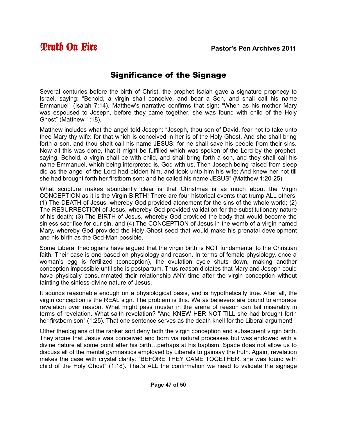#### Significance of the Signage

Several centuries before the birth of Christ, the prophet Isaiah gave a signature prophecy to Israel, saying: "Behold, a virgin shall conceive, and bear a Son, and shall call his name Emmanuel" (Isaiah 7:14). Matthew's narrative confirms that sign: "When as his mother Mary was espoused to Joseph, before they came together, she was found with child of the Holy Ghost" (Matthew 1:18).

Matthew includes what the angel told Joseph: "Joseph, thou son of David, fear not to take unto thee Mary thy wife: for that which is conceived in her is of the Holy Ghost. And she shall bring forth a son, and thou shalt call his name JESUS: for he shall save his people from their sins. Now all this was done, that it might be fulfilled which was spoken of the Lord by the prophet, saying, Behold, a virgin shall be with child, and shall bring forth a son, and they shall call his name Emmanuel, which being interpreted is, God with us. Then Joseph being raised from sleep did as the angel of the Lord had bidden him, and took unto him his wife: And knew her not till she had brought forth her firstborn son: and he called his name JESUS" (Matthew 1:20-25).

What scripture makes abundantly clear is that Christmas is as much about the Virgin CONCEPTION as it is the Virgin BIRTH! There are four historical events that trump ALL others: (1) The DEATH of Jesus, whereby God provided atonement for the sins of the whole world; (2) The RESURRECTION of Jesus, whereby God provided validation for the substitutionary nature of his death; (3) The BIRTH of Jesus, whereby God provided the body that would become the sinless sacrifice for our sin, and (4) The CONCEPTION of Jesus in the womb of a virgin named Mary, whereby God provided the Holy Ghost seed that would make his prenatal development and his birth as the God-Man possible.

Some Liberal theologians have argued that the virgin birth is NOT fundamental to the Christian faith. Their case is one based on physiology and reason. In terms of female physiology, once a woman's egg is fertilized (conception), the ovulation cycle shuts down, making another conception impossible until she is postpartum. Thus reason dictates that Mary and Joseph could have physically consummated their relationship ANY time after the virgin conception without tainting the sinless-divine nature of Jesus.

It sounds reasonable enough on a physiological basis, and is hypothetically true. After all, the virgin conception is the REAL sign. The problem is this. We as believers are bound to embrace revelation over reason. What might pass muster in the arena of reason can fail miserably in terms of revelation. What saith revelation? "And KNEW HER NOT TILL she had brought forth her firstborn son" (1:25). That one sentence serves as the death knell for the Liberal argument!

Other theologians of the ranker sort deny both the virgin conception and subsequent virgin birth. They argue that Jesus was conceived and born via natural processes but was endowed with a divine nature at some point after his birth…perhaps at his baptism. Space does not allow us to discuss all of the mental gymnastics employed by Liberals to gainsay the truth. Again, revelation makes the case with crystal clarity: "BEFORE THEY CAME TOGETHER, she was found with child of the Holy Ghost" (1:18). That's ALL the confirmation we need to validate the signage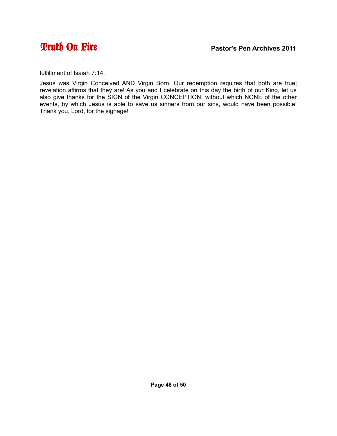fulfillment of Isaiah 7:14.

Jesus was Virgin Conceived AND Virgin Born. Our redemption requires that both are true; revelation affirms that they are! As you and I celebrate on this day the birth of our King, let us also give thanks for the SIGN of the Virgin CONCEPTION, without which NONE of the other events, by which Jesus is able to save us sinners from our sins, would have been possible! Thank you, Lord, for the signage!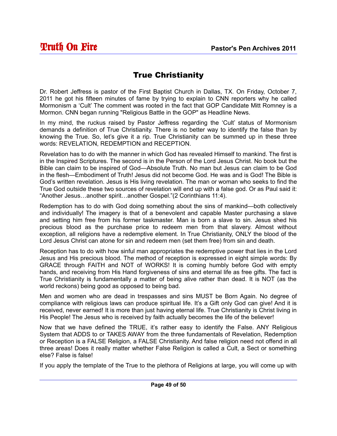#### True Christianity

Dr. Robert Jeffress is pastor of the First Baptist Church in Dallas, TX. On Friday, October 7, 2011 he got his fifteen minutes of fame by trying to explain to CNN reporters why he called Mormonism a 'Cult' The comment was rooted in the fact that GOP Candidate Mitt Romney is a Mormon. CNN began running "Religious Battle in the GOP" as Headline News.

In my mind, the ruckus raised by Pastor Jeffress regarding the 'Cult' status of Mormonism demands a definition of True Christianity. There is no better way to identify the false than by knowing the True. So, let's give it a rip. True Christianity can be summed up in these three words: REVELATION, REDEMPTION and RECEPTION.

Revelation has to do with the manner in which God has revealed Himself to mankind. The first is in the Inspired Scriptures. The second is in the Person of the Lord Jesus Christ. No book but the Bible can claim to be inspired of God—Absolute Truth. No man but Jesus can claim to be God in the flesh—Embodiment of Truth! Jesus did not become God. He was and is God! The Bible is God's written revelation. Jesus is His living revelation. The man or woman who seeks to find the True God outside these two sources of revelation will end up with a false god. Or as Paul said it: "Another Jesus…another spirit…another Gospel."(2 Corinthians 11:4).

Redemption has to do with God doing something about the sins of mankind—both collectively and individually! The imagery is that of a benevolent and capable Master purchasing a slave and setting him free from his former taskmaster. Man is born a slave to sin. Jesus shed his precious blood as the purchase price to redeem men from that slavery. Almost without exception, all religions have a redemptive element. In True Christianity, ONLY the blood of the Lord Jesus Christ can atone for sin and redeem men (set them free) from sin and death.

Reception has to do with how sinful man appropriates the redemptive power that lies in the Lord Jesus and His precious blood. The method of reception is expressed in eight simple words: By GRACE through FAITH and NOT of WORKS! It is coming humbly before God with empty hands, and receiving from His Hand forgiveness of sins and eternal life as free gifts. The fact is True Christianity is fundamentally a matter of being alive rather than dead. It is NOT (as the world reckons) being good as opposed to being bad.

Men and women who are dead in trespasses and sins MUST be Born Again. No degree of compliance with religious laws can produce spiritual life. It's a Gift only God can give! And it is received, never earned! It is more than just having eternal life. True Christianity is Christ living in His People! The Jesus who is received by faith actually becomes the life of the believer!

Now that we have defined the TRUE, it's rather easy to identify the False. ANY Religious System that ADDS to or TAKES AWAY from the three fundamentals of Revelation, Redemption or Reception is a FALSE Religion, a FALSE Christianity. And false religion need not offend in all three areas! Does it really matter whether False Religion is called a Cult, a Sect or something else? False is false!

If you apply the template of the True to the plethora of Religions at large, you will come up with